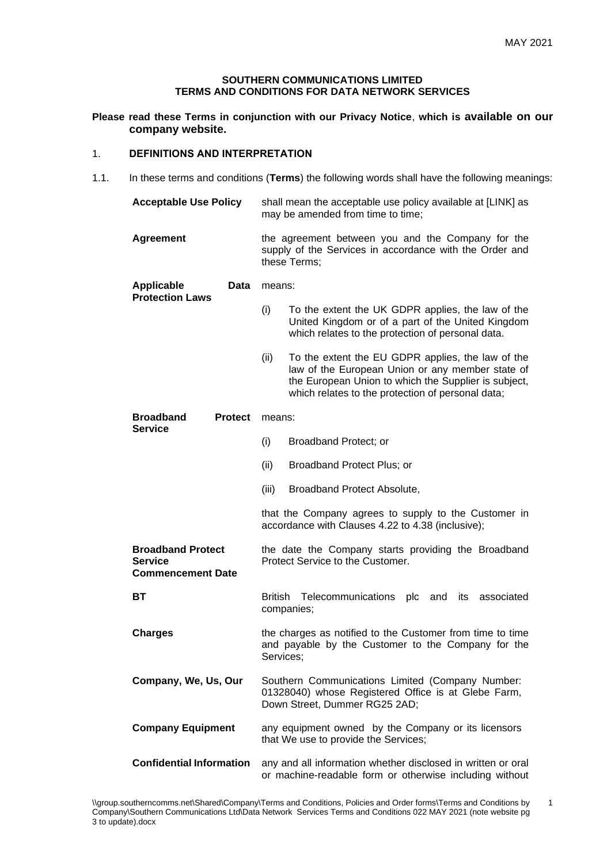1

#### **SOUTHERN COMMUNICATIONS LIMITED TERMS AND CONDITIONS FOR DATA NETWORK SERVICES**

**Please read these Terms in conjunction with our Privacy Notice**, **which is available on our company website.**

## 1. **DEFINITIONS AND INTERPRETATION**

1.1. In these terms and conditions (**Terms**) the following words shall have the following meanings:

| <b>Acceptable Use Policy</b>                                           | shall mean the acceptable use policy available at [LINK] as<br>may be amended from time to time;                                                                                                                           |  |  |
|------------------------------------------------------------------------|----------------------------------------------------------------------------------------------------------------------------------------------------------------------------------------------------------------------------|--|--|
| <b>Agreement</b>                                                       | the agreement between you and the Company for the<br>supply of the Services in accordance with the Order and<br>these Terms:                                                                                               |  |  |
| <b>Applicable</b><br><b>Data</b><br><b>Protection Laws</b>             | means:                                                                                                                                                                                                                     |  |  |
|                                                                        | (i)<br>To the extent the UK GDPR applies, the law of the<br>United Kingdom or of a part of the United Kingdom<br>which relates to the protection of personal data.                                                         |  |  |
|                                                                        | To the extent the EU GDPR applies, the law of the<br>(ii)<br>law of the European Union or any member state of<br>the European Union to which the Supplier is subject,<br>which relates to the protection of personal data; |  |  |
| <b>Broadband</b><br><b>Protect</b><br><b>Service</b>                   | means:                                                                                                                                                                                                                     |  |  |
|                                                                        | (i)<br>Broadband Protect; or                                                                                                                                                                                               |  |  |
|                                                                        | (ii)<br>Broadband Protect Plus; or                                                                                                                                                                                         |  |  |
|                                                                        | (iii)<br>Broadband Protect Absolute,                                                                                                                                                                                       |  |  |
|                                                                        | that the Company agrees to supply to the Customer in<br>accordance with Clauses 4.22 to 4.38 (inclusive);                                                                                                                  |  |  |
| <b>Broadband Protect</b><br><b>Service</b><br><b>Commencement Date</b> | the date the Company starts providing the Broadband<br>Protect Service to the Customer.                                                                                                                                    |  |  |
| ВT                                                                     | British<br>Telecommunications plc<br>associated<br>and<br>its<br>companies;                                                                                                                                                |  |  |
| <b>Charges</b>                                                         | the charges as notified to the Customer from time to time<br>and payable by the Customer to the Company for the<br>Services;                                                                                               |  |  |
| Company, We, Us, Our                                                   | Southern Communications Limited (Company Number:<br>01328040) whose Registered Office is at Glebe Farm,<br>Down Street, Dummer RG25 2AD;                                                                                   |  |  |
| <b>Company Equipment</b>                                               | any equipment owned by the Company or its licensors<br>that We use to provide the Services;                                                                                                                                |  |  |
| <b>Confidential Information</b>                                        | any and all information whether disclosed in written or oral<br>or machine-readable form or otherwise including without                                                                                                    |  |  |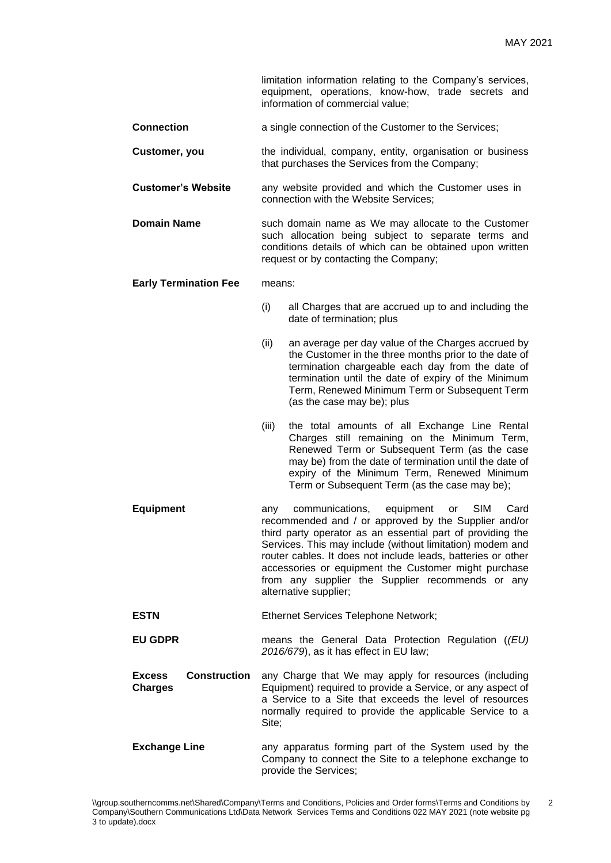limitation information relating to the Company's services, equipment, operations, know-how, trade secrets and information of commercial value;

- **Connection a** single connection of the Customer to the Services;
- **Customer, you** the individual, company, entity, organisation or business that purchases the Services from the Company;
- **Customer's Website** any website provided and which the Customer uses in connection with the Website Services;
- **Domain Name** such domain name as We may allocate to the Customer such allocation being subject to separate terms and conditions details of which can be obtained upon written request or by contacting the Company;
- **Early Termination Fee** means:
	- (i) all Charges that are accrued up to and including the date of termination; plus
	- (ii) an average per day value of the Charges accrued by the Customer in the three months prior to the date of termination chargeable each day from the date of termination until the date of expiry of the Minimum Term, Renewed Minimum Term or Subsequent Term (as the case may be); plus
	- (iii) the total amounts of all Exchange Line Rental Charges still remaining on the Minimum Term, Renewed Term or Subsequent Term (as the case may be) from the date of termination until the date of expiry of the Minimum Term, Renewed Minimum Term or Subsequent Term (as the case may be);
- **Equipment** any communications, equipment or SIM Card recommended and / or approved by the Supplier and/or third party operator as an essential part of providing the Services. This may include (without limitation) modem and router cables. It does not include leads, batteries or other accessories or equipment the Customer might purchase from any supplier the Supplier recommends or any alternative supplier;
- **ESTN** Ethernet Services Telephone Network;
- **EU GDPR** means the General Data Protection Regulation (*(EU) 2016/679*), as it has effect in EU law;
- **Excess Construction Charges** any Charge that We may apply for resources (including Equipment) required to provide a Service, or any aspect of a Service to a Site that exceeds the level of resources normally required to provide the applicable Service to a Site;
- **Exchange Line** any apparatus forming part of the System used by the Company to connect the Site to a telephone exchange to provide the Services;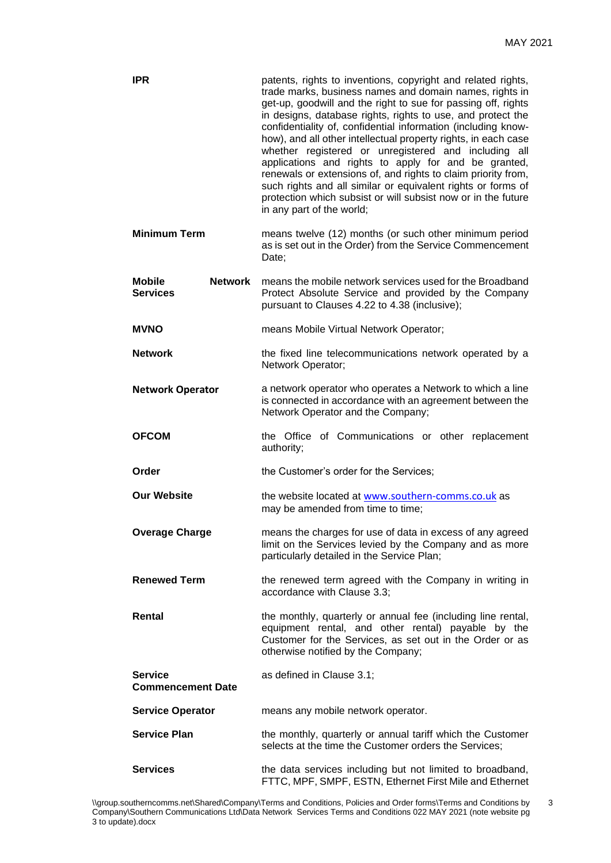| <b>IPR</b>                                         | patents, rights to inventions, copyright and related rights,<br>trade marks, business names and domain names, rights in<br>get-up, goodwill and the right to sue for passing off, rights<br>in designs, database rights, rights to use, and protect the<br>confidentiality of, confidential information (including know-<br>how), and all other intellectual property rights, in each case<br>whether registered or unregistered and including all<br>applications and rights to apply for and be granted,<br>renewals or extensions of, and rights to claim priority from,<br>such rights and all similar or equivalent rights or forms of<br>protection which subsist or will subsist now or in the future<br>in any part of the world; |  |
|----------------------------------------------------|-------------------------------------------------------------------------------------------------------------------------------------------------------------------------------------------------------------------------------------------------------------------------------------------------------------------------------------------------------------------------------------------------------------------------------------------------------------------------------------------------------------------------------------------------------------------------------------------------------------------------------------------------------------------------------------------------------------------------------------------|--|
| <b>Minimum Term</b>                                | means twelve (12) months (or such other minimum period<br>as is set out in the Order) from the Service Commencement<br>Date;                                                                                                                                                                                                                                                                                                                                                                                                                                                                                                                                                                                                              |  |
| <b>Mobile</b><br><b>Network</b><br><b>Services</b> | means the mobile network services used for the Broadband<br>Protect Absolute Service and provided by the Company<br>pursuant to Clauses 4.22 to 4.38 (inclusive);                                                                                                                                                                                                                                                                                                                                                                                                                                                                                                                                                                         |  |
| <b>MVNO</b>                                        | means Mobile Virtual Network Operator;                                                                                                                                                                                                                                                                                                                                                                                                                                                                                                                                                                                                                                                                                                    |  |
| <b>Network</b>                                     | the fixed line telecommunications network operated by a<br>Network Operator;                                                                                                                                                                                                                                                                                                                                                                                                                                                                                                                                                                                                                                                              |  |
| <b>Network Operator</b>                            | a network operator who operates a Network to which a line<br>is connected in accordance with an agreement between the<br>Network Operator and the Company;                                                                                                                                                                                                                                                                                                                                                                                                                                                                                                                                                                                |  |
| <b>OFCOM</b>                                       | the Office of Communications or other replacement<br>authority;                                                                                                                                                                                                                                                                                                                                                                                                                                                                                                                                                                                                                                                                           |  |
| Order                                              | the Customer's order for the Services;                                                                                                                                                                                                                                                                                                                                                                                                                                                                                                                                                                                                                                                                                                    |  |
| <b>Our Website</b>                                 | the website located at www.southern-comms.co.uk as<br>may be amended from time to time;                                                                                                                                                                                                                                                                                                                                                                                                                                                                                                                                                                                                                                                   |  |
| <b>Overage Charge</b>                              | means the charges for use of data in excess of any agreed<br>limit on the Services levied by the Company and as more<br>particularly detailed in the Service Plan;                                                                                                                                                                                                                                                                                                                                                                                                                                                                                                                                                                        |  |
| <b>Renewed Term</b>                                | the renewed term agreed with the Company in writing in<br>accordance with Clause 3.3;                                                                                                                                                                                                                                                                                                                                                                                                                                                                                                                                                                                                                                                     |  |
| Rental                                             | the monthly, quarterly or annual fee (including line rental,<br>equipment rental, and other rental) payable by the<br>Customer for the Services, as set out in the Order or as<br>otherwise notified by the Company;                                                                                                                                                                                                                                                                                                                                                                                                                                                                                                                      |  |
| <b>Service</b><br><b>Commencement Date</b>         | as defined in Clause 3.1;                                                                                                                                                                                                                                                                                                                                                                                                                                                                                                                                                                                                                                                                                                                 |  |
| <b>Service Operator</b>                            | means any mobile network operator.                                                                                                                                                                                                                                                                                                                                                                                                                                                                                                                                                                                                                                                                                                        |  |
| <b>Service Plan</b>                                | the monthly, quarterly or annual tariff which the Customer<br>selects at the time the Customer orders the Services;                                                                                                                                                                                                                                                                                                                                                                                                                                                                                                                                                                                                                       |  |
| <b>Services</b>                                    | the data services including but not limited to broadband,<br>FTTC, MPF, SMPF, ESTN, Ethernet First Mile and Ethernet                                                                                                                                                                                                                                                                                                                                                                                                                                                                                                                                                                                                                      |  |

3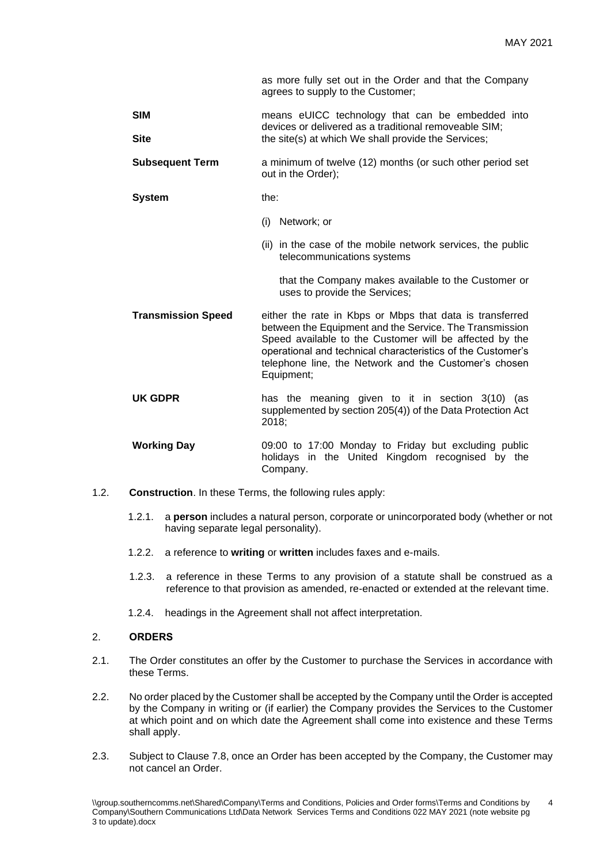as more fully set out in the Order and that the Company agrees to supply to the Customer;

- **SIM** means eUICC technology that can be embedded into devices or delivered as a traditional removeable SIM; **Site** the site(s) at which We shall provide the Services;
- **Subsequent Term** a minimum of twelve (12) months (or such other period set out in the Order);
- **System** the:
	- (i) Network; or
	- (ii) in the case of the mobile network services, the public telecommunications systems

that the Company makes available to the Customer or uses to provide the Services;

- **Transmission Speed** either the rate in Kbps or Mbps that data is transferred between the Equipment and the Service. The Transmission Speed available to the Customer will be affected by the operational and technical characteristics of the Customer's telephone line, the Network and the Customer's chosen Equipment;
- **UK GDPR** has the meaning given to it in section 3(10) (as supplemented by section 205(4)) of the Data Protection Act 2018;
- **Working Day** 09:00 to 17:00 Monday to Friday but excluding public holidays in the United Kingdom recognised by the Company.
- 1.2. **Construction**. In these Terms, the following rules apply:
	- 1.2.1. a **person** includes a natural person, corporate or unincorporated body (whether or not having separate legal personality).
	- 1.2.2. a reference to **writing** or **written** includes faxes and e-mails.
	- 1.2.3. a reference in these Terms to any provision of a statute shall be construed as a reference to that provision as amended, re-enacted or extended at the relevant time.
	- 1.2.4. headings in the Agreement shall not affect interpretation.

# 2. **ORDERS**

- 2.1. The Order constitutes an offer by the Customer to purchase the Services in accordance with these Terms.
- 2.2. No order placed by the Customer shall be accepted by the Company until the Order is accepted by the Company in writing or (if earlier) the Company provides the Services to the Customer at which point and on which date the Agreement shall come into existence and these Terms shall apply.
- 2.3. Subject to Clause 7.8, once an Order has been accepted by the Company, the Customer may not cancel an Order.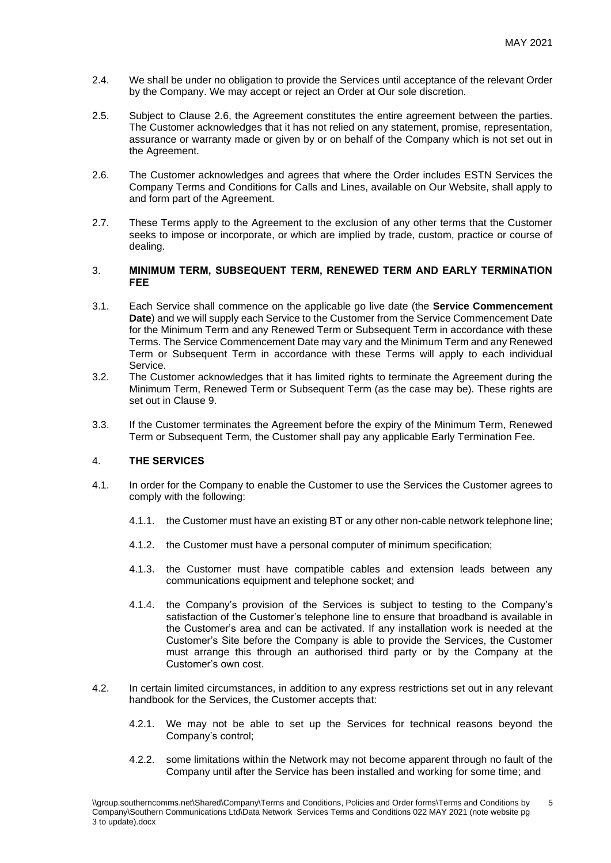- 2.4. We shall be under no obligation to provide the Services until acceptance of the relevant Order by the Company. We may accept or reject an Order at Our sole discretion.
- 2.5. Subject to Clause 2.6, the Agreement constitutes the entire agreement between the parties. The Customer acknowledges that it has not relied on any statement, promise, representation, assurance or warranty made or given by or on behalf of the Company which is not set out in the Agreement.
- 2.6. The Customer acknowledges and agrees that where the Order includes ESTN Services the Company Terms and Conditions for Calls and Lines, available on Our Website, shall apply to and form part of the Agreement.
- 2.7. These Terms apply to the Agreement to the exclusion of any other terms that the Customer seeks to impose or incorporate, or which are implied by trade, custom, practice or course of dealing.

#### 3. **MINIMUM TERM, SUBSEQUENT TERM, RENEWED TERM AND EARLY TERMINATION FEE**

- 3.1. Each Service shall commence on the applicable go live date (the **Service Commencement Date**) and we will supply each Service to the Customer from the Service Commencement Date for the Minimum Term and any Renewed Term or Subsequent Term in accordance with these Terms. The Service Commencement Date may vary and the Minimum Term and any Renewed Term or Subsequent Term in accordance with these Terms will apply to each individual Service.
- 3.2. The Customer acknowledges that it has limited rights to terminate the Agreement during the Minimum Term, Renewed Term or Subsequent Term (as the case may be). These rights are set out in Clause 9.
- 3.3. If the Customer terminates the Agreement before the expiry of the Minimum Term, Renewed Term or Subsequent Term, the Customer shall pay any applicable Early Termination Fee.

## 4. **THE SERVICES**

- 4.1. In order for the Company to enable the Customer to use the Services the Customer agrees to comply with the following:
	- 4.1.1. the Customer must have an existing BT or any other non-cable network telephone line;
	- 4.1.2. the Customer must have a personal computer of minimum specification;
	- 4.1.3. the Customer must have compatible cables and extension leads between any communications equipment and telephone socket; and
	- 4.1.4. the Company's provision of the Services is subject to testing to the Company's satisfaction of the Customer's telephone line to ensure that broadband is available in the Customer's area and can be activated. If any installation work is needed at the Customer's Site before the Company is able to provide the Services, the Customer must arrange this through an authorised third party or by the Company at the Customer's own cost.
- 4.2. In certain limited circumstances, in addition to any express restrictions set out in any relevant handbook for the Services, the Customer accepts that:
	- 4.2.1. We may not be able to set up the Services for technical reasons beyond the Company's control;
	- 4.2.2. some limitations within the Network may not become apparent through no fault of the Company until after the Service has been installed and working for some time; and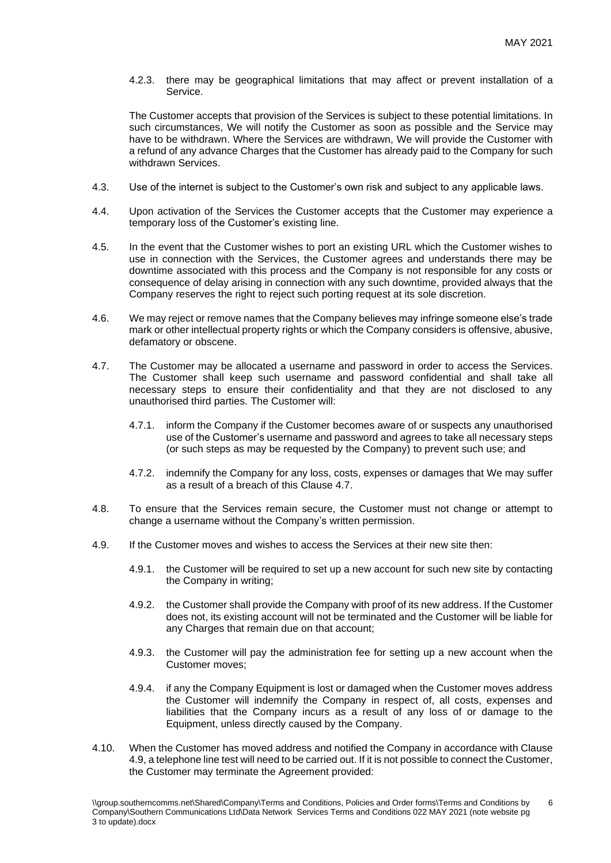4.2.3. there may be geographical limitations that may affect or prevent installation of a Service.

The Customer accepts that provision of the Services is subject to these potential limitations. In such circumstances, We will notify the Customer as soon as possible and the Service may have to be withdrawn. Where the Services are withdrawn, We will provide the Customer with a refund of any advance Charges that the Customer has already paid to the Company for such withdrawn Services.

- 4.3. Use of the internet is subject to the Customer's own risk and subject to any applicable laws.
- 4.4. Upon activation of the Services the Customer accepts that the Customer may experience a temporary loss of the Customer's existing line.
- 4.5. In the event that the Customer wishes to port an existing URL which the Customer wishes to use in connection with the Services, the Customer agrees and understands there may be downtime associated with this process and the Company is not responsible for any costs or consequence of delay arising in connection with any such downtime, provided always that the Company reserves the right to reject such porting request at its sole discretion.
- 4.6. We may reject or remove names that the Company believes may infringe someone else's trade mark or other intellectual property rights or which the Company considers is offensive, abusive, defamatory or obscene.
- 4.7. The Customer may be allocated a username and password in order to access the Services. The Customer shall keep such username and password confidential and shall take all necessary steps to ensure their confidentiality and that they are not disclosed to any unauthorised third parties. The Customer will:
	- 4.7.1. inform the Company if the Customer becomes aware of or suspects any unauthorised use of the Customer's username and password and agrees to take all necessary steps (or such steps as may be requested by the Company) to prevent such use; and
	- 4.7.2. indemnify the Company for any loss, costs, expenses or damages that We may suffer as a result of a breach of this Clause 4.7.
- 4.8. To ensure that the Services remain secure, the Customer must not change or attempt to change a username without the Company's written permission.
- 4.9. If the Customer moves and wishes to access the Services at their new site then:
	- 4.9.1. the Customer will be required to set up a new account for such new site by contacting the Company in writing;
	- 4.9.2. the Customer shall provide the Company with proof of its new address. If the Customer does not, its existing account will not be terminated and the Customer will be liable for any Charges that remain due on that account;
	- 4.9.3. the Customer will pay the administration fee for setting up a new account when the Customer moves;
	- 4.9.4. if any the Company Equipment is lost or damaged when the Customer moves address the Customer will indemnify the Company in respect of, all costs, expenses and liabilities that the Company incurs as a result of any loss of or damage to the Equipment, unless directly caused by the Company.
- 4.10. When the Customer has moved address and notified the Company in accordance with Clause 4.9, a telephone line test will need to be carried out. If it is not possible to connect the Customer, the Customer may terminate the Agreement provided: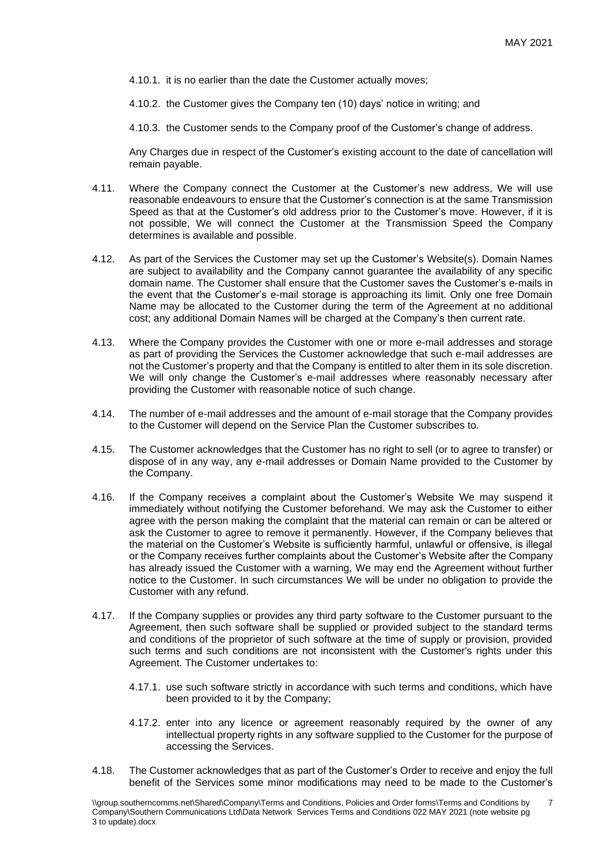- 4.10.1. it is no earlier than the date the Customer actually moves;
- 4.10.2. the Customer gives the Company ten (10) days' notice in writing; and

4.10.3. the Customer sends to the Company proof of the Customer's change of address.

Any Charges due in respect of the Customer's existing account to the date of cancellation will remain payable.

- 4.11. Where the Company connect the Customer at the Customer's new address, We will use reasonable endeavours to ensure that the Customer's connection is at the same Transmission Speed as that at the Customer's old address prior to the Customer's move. However, if it is not possible, We will connect the Customer at the Transmission Speed the Company determines is available and possible.
- 4.12. As part of the Services the Customer may set up the Customer's Website(s). Domain Names are subject to availability and the Company cannot guarantee the availability of any specific domain name. The Customer shall ensure that the Customer saves the Customer's e-mails in the event that the Customer's e-mail storage is approaching its limit. Only one free Domain Name may be allocated to the Customer during the term of the Agreement at no additional cost; any additional Domain Names will be charged at the Company's then current rate.
- 4.13. Where the Company provides the Customer with one or more e-mail addresses and storage as part of providing the Services the Customer acknowledge that such e-mail addresses are not the Customer's property and that the Company is entitled to alter them in its sole discretion. We will only change the Customer's e-mail addresses where reasonably necessary after providing the Customer with reasonable notice of such change.
- 4.14. The number of e-mail addresses and the amount of e-mail storage that the Company provides to the Customer will depend on the Service Plan the Customer subscribes to.
- 4.15. The Customer acknowledges that the Customer has no right to sell (or to agree to transfer) or dispose of in any way, any e-mail addresses or Domain Name provided to the Customer by the Company.
- 4.16. If the Company receives a complaint about the Customer's Website We may suspend it immediately without notifying the Customer beforehand. We may ask the Customer to either agree with the person making the complaint that the material can remain or can be altered or ask the Customer to agree to remove it permanently. However, if the Company believes that the material on the Customer's Website is sufficiently harmful, unlawful or offensive, is illegal or the Company receives further complaints about the Customer's Website after the Company has already issued the Customer with a warning, We may end the Agreement without further notice to the Customer. In such circumstances We will be under no obligation to provide the Customer with any refund.
- 4.17. If the Company supplies or provides any third party software to the Customer pursuant to the Agreement, then such software shall be supplied or provided subject to the standard terms and conditions of the proprietor of such software at the time of supply or provision, provided such terms and such conditions are not inconsistent with the Customer's rights under this Agreement. The Customer undertakes to:
	- 4.17.1. use such software strictly in accordance with such terms and conditions, which have been provided to it by the Company;
	- 4.17.2. enter into any licence or agreement reasonably required by the owner of any intellectual property rights in any software supplied to the Customer for the purpose of accessing the Services.
- 4.18. The Customer acknowledges that as part of the Customer's Order to receive and enjoy the full benefit of the Services some minor modifications may need to be made to the Customer's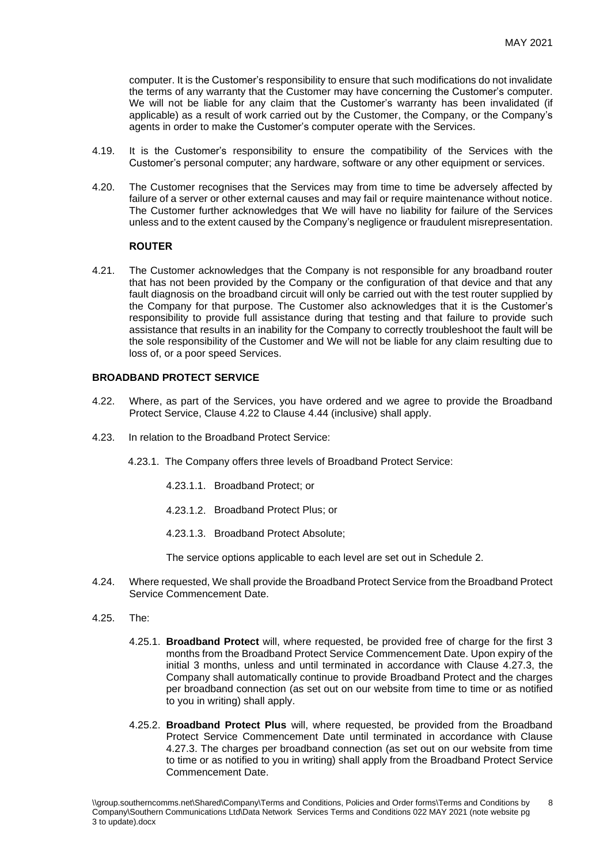computer. It is the Customer's responsibility to ensure that such modifications do not invalidate the terms of any warranty that the Customer may have concerning the Customer's computer. We will not be liable for any claim that the Customer's warranty has been invalidated (if applicable) as a result of work carried out by the Customer, the Company, or the Company's agents in order to make the Customer's computer operate with the Services.

- 4.19. It is the Customer's responsibility to ensure the compatibility of the Services with the Customer's personal computer; any hardware, software or any other equipment or services.
- 4.20. The Customer recognises that the Services may from time to time be adversely affected by failure of a server or other external causes and may fail or require maintenance without notice. The Customer further acknowledges that We will have no liability for failure of the Services unless and to the extent caused by the Company's negligence or fraudulent misrepresentation.

## **ROUTER**

4.21. The Customer acknowledges that the Company is not responsible for any broadband router that has not been provided by the Company or the configuration of that device and that any fault diagnosis on the broadband circuit will only be carried out with the test router supplied by the Company for that purpose. The Customer also acknowledges that it is the Customer's responsibility to provide full assistance during that testing and that failure to provide such assistance that results in an inability for the Company to correctly troubleshoot the fault will be the sole responsibility of the Customer and We will not be liable for any claim resulting due to loss of, or a poor speed Services.

## **BROADBAND PROTECT SERVICE**

- 4.22. Where, as part of the Services, you have ordered and we agree to provide the Broadband Protect Service, Clause 4.22 to Clause 4.44 (inclusive) shall apply.
- 4.23. In relation to the Broadband Protect Service:

4.23.1. The Company offers three levels of Broadband Protect Service:

- 4.23.1.1. Broadband Protect; or
- 4.23.1.2. Broadband Protect Plus; or
- 4.23.1.3. Broadband Protect Absolute;

The service options applicable to each level are set out in Schedule 2.

- 4.24. Where requested, We shall provide the Broadband Protect Service from the Broadband Protect Service Commencement Date.
- 4.25. The:
	- 4.25.1. **Broadband Protect** will, where requested, be provided free of charge for the first 3 months from the Broadband Protect Service Commencement Date. Upon expiry of the initial 3 months, unless and until terminated in accordance with Clause 4.27.3, the Company shall automatically continue to provide Broadband Protect and the charges per broadband connection (as set out on our website from time to time or as notified to you in writing) shall apply.
	- 4.25.2. **Broadband Protect Plus** will, where requested, be provided from the Broadband Protect Service Commencement Date until terminated in accordance with Clause 4.27.3. The charges per broadband connection (as set out on our website from time to time or as notified to you in writing) shall apply from the Broadband Protect Service Commencement Date.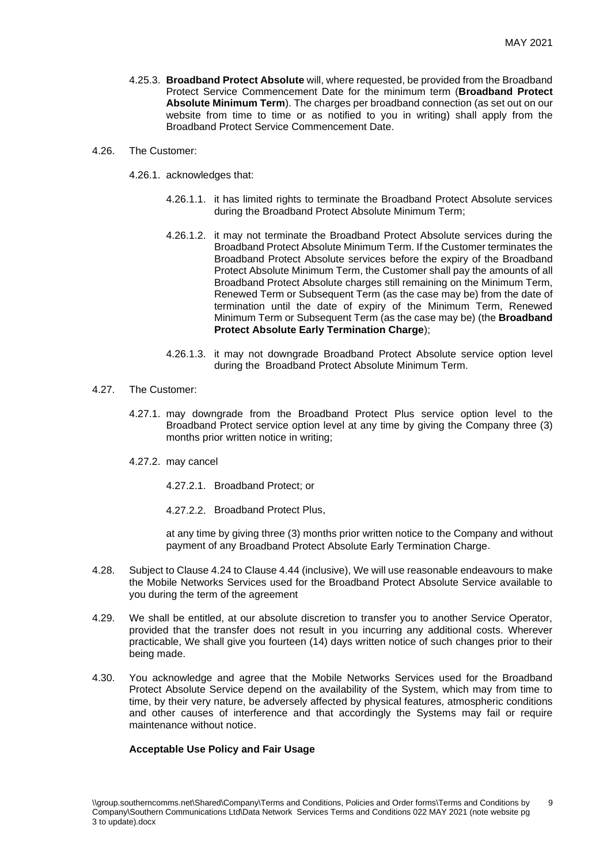- 4.25.3. **Broadband Protect Absolute** will, where requested, be provided from the Broadband Protect Service Commencement Date for the minimum term (**Broadband Protect Absolute Minimum Term**). The charges per broadband connection (as set out on our website from time to time or as notified to you in writing) shall apply from the Broadband Protect Service Commencement Date.
- 4.26. The Customer:
	- 4.26.1. acknowledges that:
		- 4.26.1.1. it has limited rights to terminate the Broadband Protect Absolute services during the Broadband Protect Absolute Minimum Term;
		- 4.26.1.2. it may not terminate the Broadband Protect Absolute services during the Broadband Protect Absolute Minimum Term. If the Customer terminates the Broadband Protect Absolute services before the expiry of the Broadband Protect Absolute Minimum Term, the Customer shall pay the amounts of all Broadband Protect Absolute charges still remaining on the Minimum Term, Renewed Term or Subsequent Term (as the case may be) from the date of termination until the date of expiry of the Minimum Term, Renewed Minimum Term or Subsequent Term (as the case may be) (the **Broadband Protect Absolute Early Termination Charge**);
		- 4.26.1.3. it may not downgrade Broadband Protect Absolute service option level during the Broadband Protect Absolute Minimum Term.
- 4.27. The Customer:
	- 4.27.1. may downgrade from the Broadband Protect Plus service option level to the Broadband Protect service option level at any time by giving the Company three (3) months prior written notice in writing;
	- 4.27.2. may cancel
		- 4.27.2.1. Broadband Protect; or
		- 4.27.2.2. Broadband Protect Plus,

at any time by giving three (3) months prior written notice to the Company and without payment of any Broadband Protect Absolute Early Termination Charge.

- 4.28. Subject to Clause 4.24 to Clause 4.44 (inclusive), We will use reasonable endeavours to make the Mobile Networks Services used for the Broadband Protect Absolute Service available to you during the term of the agreement
- 4.29. We shall be entitled, at our absolute discretion to transfer you to another Service Operator, provided that the transfer does not result in you incurring any additional costs. Wherever practicable, We shall give you fourteen (14) days written notice of such changes prior to their being made.
- 4.30. You acknowledge and agree that the Mobile Networks Services used for the Broadband Protect Absolute Service depend on the availability of the System, which may from time to time, by their very nature, be adversely affected by physical features, atmospheric conditions and other causes of interference and that accordingly the Systems may fail or require maintenance without notice.

## **Acceptable Use Policy and Fair Usage**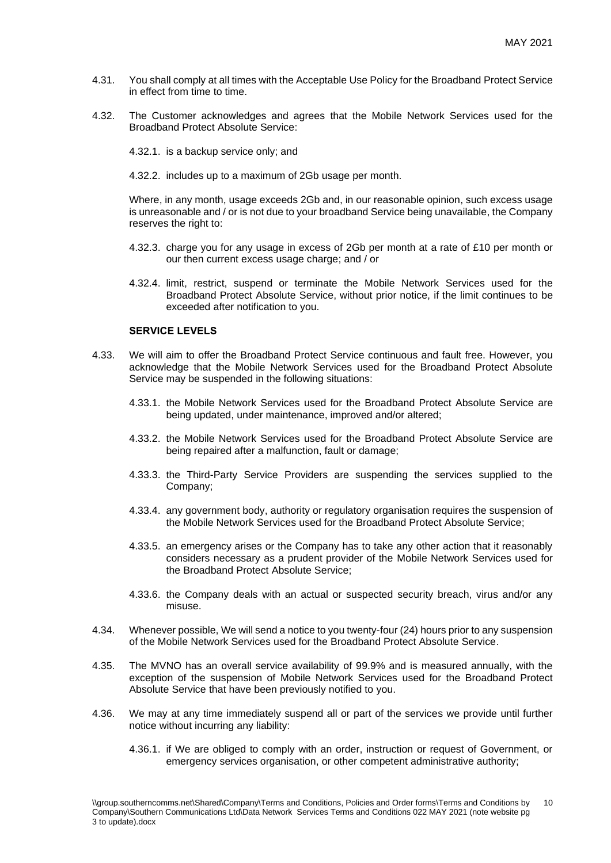- 4.31. You shall comply at all times with the Acceptable Use Policy for the Broadband Protect Service in effect from time to time.
- 4.32. The Customer acknowledges and agrees that the Mobile Network Services used for the Broadband Protect Absolute Service:
	- 4.32.1. is a backup service only; and
	- 4.32.2. includes up to a maximum of 2Gb usage per month.

Where, in any month, usage exceeds 2Gb and, in our reasonable opinion, such excess usage is unreasonable and / or is not due to your broadband Service being unavailable, the Company reserves the right to:

- 4.32.3. charge you for any usage in excess of 2Gb per month at a rate of £10 per month or our then current excess usage charge; and / or
- 4.32.4. limit, restrict, suspend or terminate the Mobile Network Services used for the Broadband Protect Absolute Service, without prior notice, if the limit continues to be exceeded after notification to you.

## **SERVICE LEVELS**

- 4.33. We will aim to offer the Broadband Protect Service continuous and fault free. However, you acknowledge that the Mobile Network Services used for the Broadband Protect Absolute Service may be suspended in the following situations:
	- 4.33.1. the Mobile Network Services used for the Broadband Protect Absolute Service are being updated, under maintenance, improved and/or altered;
	- 4.33.2. the Mobile Network Services used for the Broadband Protect Absolute Service are being repaired after a malfunction, fault or damage;
	- 4.33.3. the Third-Party Service Providers are suspending the services supplied to the Company;
	- 4.33.4. any government body, authority or regulatory organisation requires the suspension of the Mobile Network Services used for the Broadband Protect Absolute Service;
	- 4.33.5. an emergency arises or the Company has to take any other action that it reasonably considers necessary as a prudent provider of the Mobile Network Services used for the Broadband Protect Absolute Service;
	- 4.33.6. the Company deals with an actual or suspected security breach, virus and/or any misuse.
- 4.34. Whenever possible, We will send a notice to you twenty-four (24) hours prior to any suspension of the Mobile Network Services used for the Broadband Protect Absolute Service.
- 4.35. The MVNO has an overall service availability of 99.9% and is measured annually, with the exception of the suspension of Mobile Network Services used for the Broadband Protect Absolute Service that have been previously notified to you.
- 4.36. We may at any time immediately suspend all or part of the services we provide until further notice without incurring any liability:
	- 4.36.1. if We are obliged to comply with an order, instruction or request of Government, or emergency services organisation, or other competent administrative authority;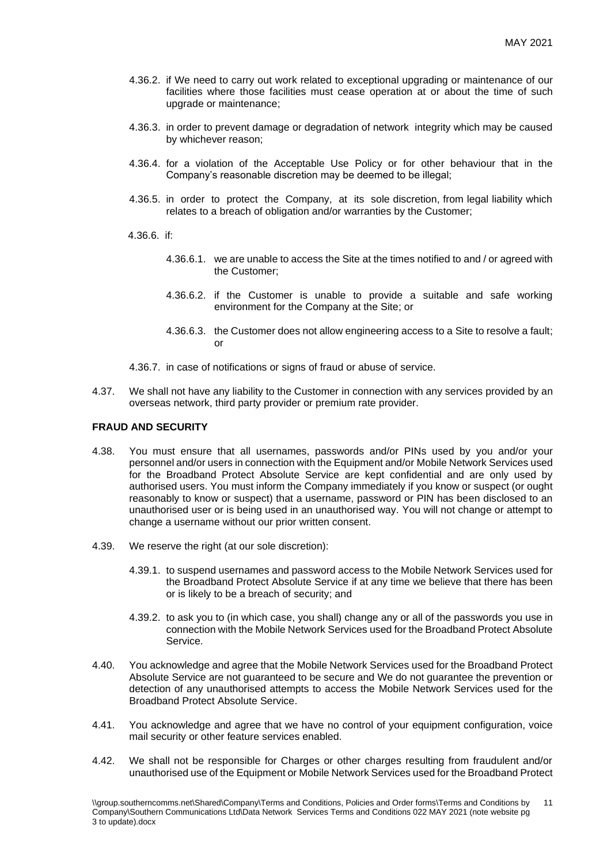- 4.36.2. if We need to carry out work related to exceptional upgrading or maintenance of our facilities where those facilities must cease operation at or about the time of such upgrade or maintenance;
- 4.36.3. in order to prevent damage or degradation of network integrity which may be caused by whichever reason;
- 4.36.4. for a violation of the Acceptable Use Policy or for other behaviour that in the Company's reasonable discretion may be deemed to be illegal;
- 4.36.5. in order to protect the Company, at its sole discretion, from legal liability which relates to a breach of obligation and/or warranties by the Customer;
- 4.36.6. if:
	- 4.36.6.1. we are unable to access the Site at the times notified to and / or agreed with the Customer;
	- 4.36.6.2. if the Customer is unable to provide a suitable and safe working environment for the Company at the Site; or
	- 4.36.6.3. the Customer does not allow engineering access to a Site to resolve a fault; or
- 4.36.7. in case of notifications or signs of fraud or abuse of service.
- 4.37. We shall not have any liability to the Customer in connection with any services provided by an overseas network, third party provider or premium rate provider.

#### **FRAUD AND SECURITY**

- 4.38. You must ensure that all usernames, passwords and/or PINs used by you and/or your personnel and/or users in connection with the Equipment and/or Mobile Network Services used for the Broadband Protect Absolute Service are kept confidential and are only used by authorised users. You must inform the Company immediately if you know or suspect (or ought reasonably to know or suspect) that a username, password or PIN has been disclosed to an unauthorised user or is being used in an unauthorised way. You will not change or attempt to change a username without our prior written consent.
- 4.39. We reserve the right (at our sole discretion):
	- 4.39.1. to suspend usernames and password access to the Mobile Network Services used for the Broadband Protect Absolute Service if at any time we believe that there has been or is likely to be a breach of security; and
	- 4.39.2. to ask you to (in which case, you shall) change any or all of the passwords you use in connection with the Mobile Network Services used for the Broadband Protect Absolute Service.
- 4.40. You acknowledge and agree that the Mobile Network Services used for the Broadband Protect Absolute Service are not guaranteed to be secure and We do not guarantee the prevention or detection of any unauthorised attempts to access the Mobile Network Services used for the Broadband Protect Absolute Service.
- 4.41. You acknowledge and agree that we have no control of your equipment configuration, voice mail security or other feature services enabled.
- 4.42. We shall not be responsible for Charges or other charges resulting from fraudulent and/or unauthorised use of the Equipment or Mobile Network Services used for the Broadband Protect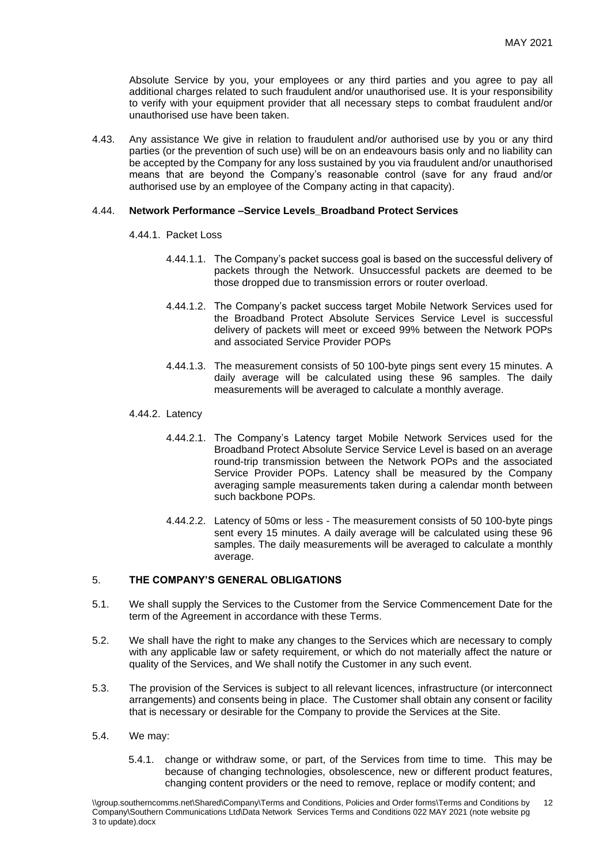Absolute Service by you, your employees or any third parties and you agree to pay all additional charges related to such fraudulent and/or unauthorised use. It is your responsibility to verify with your equipment provider that all necessary steps to combat fraudulent and/or unauthorised use have been taken.

4.43. Any assistance We give in relation to fraudulent and/or authorised use by you or any third parties (or the prevention of such use) will be on an endeavours basis only and no liability can be accepted by the Company for any loss sustained by you via fraudulent and/or unauthorised means that are beyond the Company's reasonable control (save for any fraud and/or authorised use by an employee of the Company acting in that capacity).

#### 4.44. **Network Performance –Service Levels\_Broadband Protect Services**

#### 4.44.1. Packet Loss

- 4.44.1.1. The Company's packet success goal is based on the successful delivery of packets through the Network. Unsuccessful packets are deemed to be those dropped due to transmission errors or router overload.
- 4.44.1.2. The Company's packet success target Mobile Network Services used for the Broadband Protect Absolute Services Service Level is successful delivery of packets will meet or exceed 99% between the Network POPs and associated Service Provider POPs
- 4.44.1.3. The measurement consists of 50 100-byte pings sent every 15 minutes. A daily average will be calculated using these 96 samples. The daily measurements will be averaged to calculate a monthly average.

#### 4.44.2. Latency

- 4.44.2.1. The Company's Latency target Mobile Network Services used for the Broadband Protect Absolute Service Service Level is based on an average round-trip transmission between the Network POPs and the associated Service Provider POPs. Latency shall be measured by the Company averaging sample measurements taken during a calendar month between such backbone POPs.
- 4.44.2.2. Latency of 50ms or less The measurement consists of 50 100-byte pings sent every 15 minutes. A daily average will be calculated using these 96 samples. The daily measurements will be averaged to calculate a monthly average.

# 5. **THE COMPANY'S GENERAL OBLIGATIONS**

- 5.1. We shall supply the Services to the Customer from the Service Commencement Date for the term of the Agreement in accordance with these Terms.
- 5.2. We shall have the right to make any changes to the Services which are necessary to comply with any applicable law or safety requirement, or which do not materially affect the nature or quality of the Services, and We shall notify the Customer in any such event.
- 5.3. The provision of the Services is subject to all relevant licences, infrastructure (or interconnect arrangements) and consents being in place. The Customer shall obtain any consent or facility that is necessary or desirable for the Company to provide the Services at the Site.
- 5.4. We may:
	- 5.4.1. change or withdraw some, or part, of the Services from time to time. This may be because of changing technologies, obsolescence, new or different product features, changing content providers or the need to remove, replace or modify content; and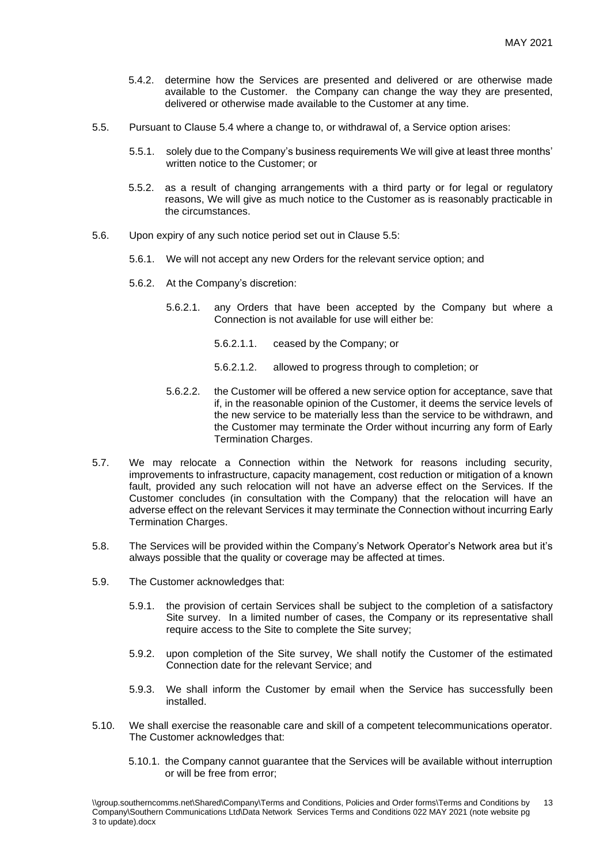- 5.4.2. determine how the Services are presented and delivered or are otherwise made available to the Customer. the Company can change the way they are presented, delivered or otherwise made available to the Customer at any time.
- 5.5. Pursuant to Clause 5.4 where a change to, or withdrawal of, a Service option arises:
	- 5.5.1. solely due to the Company's business requirements We will give at least three months' written notice to the Customer; or
	- 5.5.2. as a result of changing arrangements with a third party or for legal or regulatory reasons, We will give as much notice to the Customer as is reasonably practicable in the circumstances.
- 5.6. Upon expiry of any such notice period set out in Clause 5.5:
	- 5.6.1. We will not accept any new Orders for the relevant service option; and
	- 5.6.2. At the Company's discretion:
		- 5.6.2.1. any Orders that have been accepted by the Company but where a Connection is not available for use will either be:
			- 5.6.2.1.1. ceased by the Company; or
			- 5.6.2.1.2. allowed to progress through to completion; or
		- 5.6.2.2. the Customer will be offered a new service option for acceptance, save that if, in the reasonable opinion of the Customer, it deems the service levels of the new service to be materially less than the service to be withdrawn, and the Customer may terminate the Order without incurring any form of Early Termination Charges.
- 5.7. We may relocate a Connection within the Network for reasons including security, improvements to infrastructure, capacity management, cost reduction or mitigation of a known fault, provided any such relocation will not have an adverse effect on the Services. If the Customer concludes (in consultation with the Company) that the relocation will have an adverse effect on the relevant Services it may terminate the Connection without incurring Early Termination Charges.
- 5.8. The Services will be provided within the Company's Network Operator's Network area but it's always possible that the quality or coverage may be affected at times.
- 5.9. The Customer acknowledges that:
	- 5.9.1. the provision of certain Services shall be subject to the completion of a satisfactory Site survey. In a limited number of cases, the Company or its representative shall require access to the Site to complete the Site survey;
	- 5.9.2. upon completion of the Site survey, We shall notify the Customer of the estimated Connection date for the relevant Service; and
	- 5.9.3. We shall inform the Customer by email when the Service has successfully been installed.
- 5.10. We shall exercise the reasonable care and skill of a competent telecommunications operator. The Customer acknowledges that:
	- 5.10.1. the Company cannot guarantee that the Services will be available without interruption or will be free from error;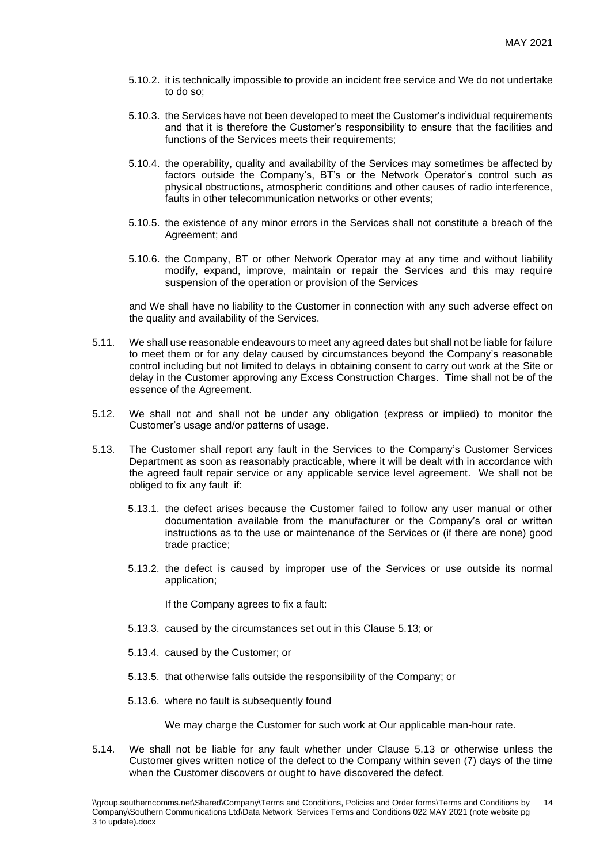- 5.10.2. it is technically impossible to provide an incident free service and We do not undertake to do so;
- 5.10.3. the Services have not been developed to meet the Customer's individual requirements and that it is therefore the Customer's responsibility to ensure that the facilities and functions of the Services meets their requirements;
- 5.10.4. the operability, quality and availability of the Services may sometimes be affected by factors outside the Company's, BT's or the Network Operator's control such as physical obstructions, atmospheric conditions and other causes of radio interference, faults in other telecommunication networks or other events;
- 5.10.5. the existence of any minor errors in the Services shall not constitute a breach of the Agreement; and
- 5.10.6. the Company, BT or other Network Operator may at any time and without liability modify, expand, improve, maintain or repair the Services and this may require suspension of the operation or provision of the Services

and We shall have no liability to the Customer in connection with any such adverse effect on the quality and availability of the Services.

- 5.11. We shall use reasonable endeavours to meet any agreed dates but shall not be liable for failure to meet them or for any delay caused by circumstances beyond the Company's reasonable control including but not limited to delays in obtaining consent to carry out work at the Site or delay in the Customer approving any Excess Construction Charges. Time shall not be of the essence of the Agreement.
- 5.12. We shall not and shall not be under any obligation (express or implied) to monitor the Customer's usage and/or patterns of usage.
- 5.13. The Customer shall report any fault in the Services to the Company's Customer Services Department as soon as reasonably practicable, where it will be dealt with in accordance with the agreed fault repair service or any applicable service level agreement. We shall not be obliged to fix any fault if:
	- 5.13.1. the defect arises because the Customer failed to follow any user manual or other documentation available from the manufacturer or the Company's oral or written instructions as to the use or maintenance of the Services or (if there are none) good trade practice;
	- 5.13.2. the defect is caused by improper use of the Services or use outside its normal application;

If the Company agrees to fix a fault:

- 5.13.3. caused by the circumstances set out in this Clause 5.13; or
- 5.13.4. caused by the Customer; or
- 5.13.5. that otherwise falls outside the responsibility of the Company; or
- 5.13.6. where no fault is subsequently found

We may charge the Customer for such work at Our applicable man-hour rate.

5.14. We shall not be liable for any fault whether under Clause 5.13 or otherwise unless the Customer gives written notice of the defect to the Company within seven (7) days of the time when the Customer discovers or ought to have discovered the defect.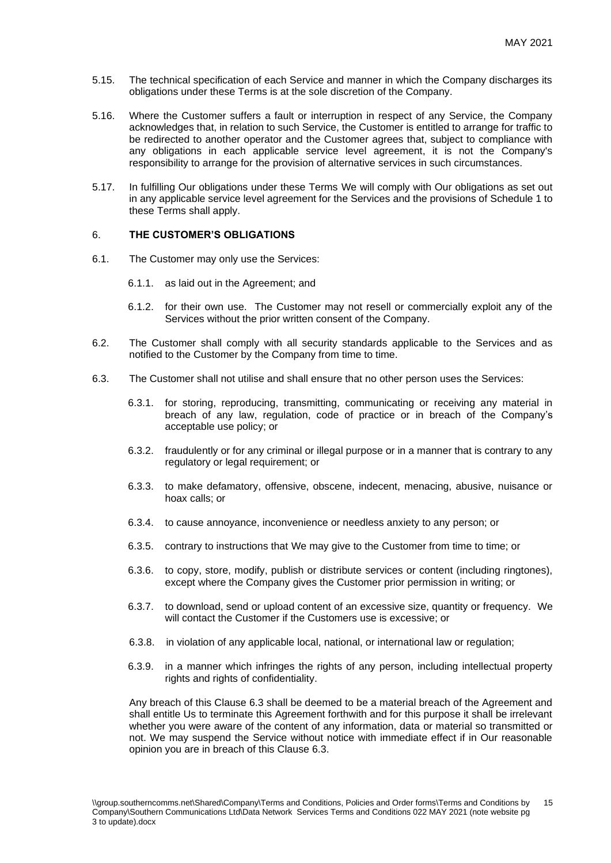- 5.15. The technical specification of each Service and manner in which the Company discharges its obligations under these Terms is at the sole discretion of the Company.
- 5.16. Where the Customer suffers a fault or interruption in respect of any Service, the Company acknowledges that, in relation to such Service, the Customer is entitled to arrange for traffic to be redirected to another operator and the Customer agrees that, subject to compliance with any obligations in each applicable service level agreement, it is not the Company's responsibility to arrange for the provision of alternative services in such circumstances.
- 5.17. In fulfilling Our obligations under these Terms We will comply with Our obligations as set out in any applicable service level agreement for the Services and the provisions of Schedule 1 to these Terms shall apply.

#### 6. **THE CUSTOMER'S OBLIGATIONS**

- 6.1. The Customer may only use the Services:
	- 6.1.1. as laid out in the Agreement; and
	- 6.1.2. for their own use. The Customer may not resell or commercially exploit any of the Services without the prior written consent of the Company.
- 6.2. The Customer shall comply with all security standards applicable to the Services and as notified to the Customer by the Company from time to time.
- 6.3. The Customer shall not utilise and shall ensure that no other person uses the Services:
	- 6.3.1. for storing, reproducing, transmitting, communicating or receiving any material in breach of any law, regulation, code of practice or in breach of the Company's acceptable use policy; or
	- 6.3.2. fraudulently or for any criminal or illegal purpose or in a manner that is contrary to any regulatory or legal requirement; or
	- 6.3.3. to make defamatory, offensive, obscene, indecent, menacing, abusive, nuisance or hoax calls; or
	- 6.3.4. to cause annoyance, inconvenience or needless anxiety to any person; or
	- 6.3.5. contrary to instructions that We may give to the Customer from time to time; or
	- 6.3.6. to copy, store, modify, publish or distribute services or content (including ringtones), except where the Company gives the Customer prior permission in writing; or
	- 6.3.7. to download, send or upload content of an excessive size, quantity or frequency. We will contact the Customer if the Customers use is excessive; or
	- 6.3.8. in violation of any applicable local, national, or international law or regulation;
	- 6.3.9. in a manner which infringes the rights of any person, including intellectual property rights and rights of confidentiality.

Any breach of this Clause 6.3 shall be deemed to be a material breach of the Agreement and shall entitle Us to terminate this Agreement forthwith and for this purpose it shall be irrelevant whether you were aware of the content of any information, data or material so transmitted or not. We may suspend the Service without notice with immediate effect if in Our reasonable opinion you are in breach of this Clause 6.3.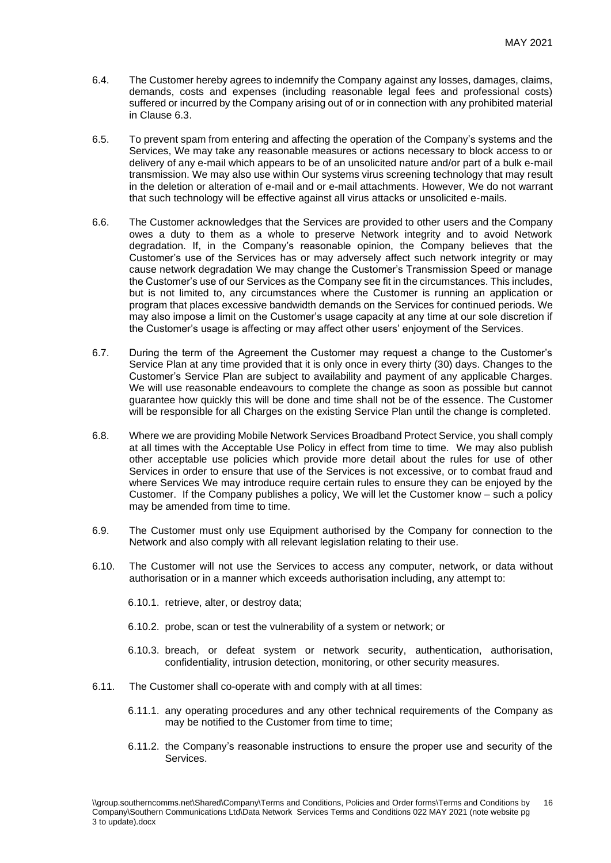- 6.4. The Customer hereby agrees to indemnify the Company against any losses, damages, claims, demands, costs and expenses (including reasonable legal fees and professional costs) suffered or incurred by the Company arising out of or in connection with any prohibited material in Clause 6.3.
- 6.5. To prevent spam from entering and affecting the operation of the Company's systems and the Services, We may take any reasonable measures or actions necessary to block access to or delivery of any e-mail which appears to be of an unsolicited nature and/or part of a bulk e-mail transmission. We may also use within Our systems virus screening technology that may result in the deletion or alteration of e-mail and or e-mail attachments. However, We do not warrant that such technology will be effective against all virus attacks or unsolicited e-mails.
- 6.6. The Customer acknowledges that the Services are provided to other users and the Company owes a duty to them as a whole to preserve Network integrity and to avoid Network degradation. If, in the Company's reasonable opinion, the Company believes that the Customer's use of the Services has or may adversely affect such network integrity or may cause network degradation We may change the Customer's Transmission Speed or manage the Customer's use of our Services as the Company see fit in the circumstances. This includes, but is not limited to, any circumstances where the Customer is running an application or program that places excessive bandwidth demands on the Services for continued periods. We may also impose a limit on the Customer's usage capacity at any time at our sole discretion if the Customer's usage is affecting or may affect other users' enjoyment of the Services.
- 6.7. During the term of the Agreement the Customer may request a change to the Customer's Service Plan at any time provided that it is only once in every thirty (30) days. Changes to the Customer's Service Plan are subject to availability and payment of any applicable Charges. We will use reasonable endeavours to complete the change as soon as possible but cannot guarantee how quickly this will be done and time shall not be of the essence. The Customer will be responsible for all Charges on the existing Service Plan until the change is completed.
- 6.8. Where we are providing Mobile Network Services Broadband Protect Service, you shall comply at all times with the Acceptable Use Policy in effect from time to time. We may also publish other acceptable use policies which provide more detail about the rules for use of other Services in order to ensure that use of the Services is not excessive, or to combat fraud and where Services We may introduce require certain rules to ensure they can be enjoyed by the Customer. If the Company publishes a policy, We will let the Customer know – such a policy may be amended from time to time.
- 6.9. The Customer must only use Equipment authorised by the Company for connection to the Network and also comply with all relevant legislation relating to their use.
- 6.10. The Customer will not use the Services to access any computer, network, or data without authorisation or in a manner which exceeds authorisation including, any attempt to:
	- 6.10.1. retrieve, alter, or destroy data;
	- 6.10.2. probe, scan or test the vulnerability of a system or network; or
	- 6.10.3. breach, or defeat system or network security, authentication, authorisation, confidentiality, intrusion detection, monitoring, or other security measures.
- 6.11. The Customer shall co-operate with and comply with at all times:
	- 6.11.1. any operating procedures and any other technical requirements of the Company as may be notified to the Customer from time to time;
	- 6.11.2. the Company's reasonable instructions to ensure the proper use and security of the Services.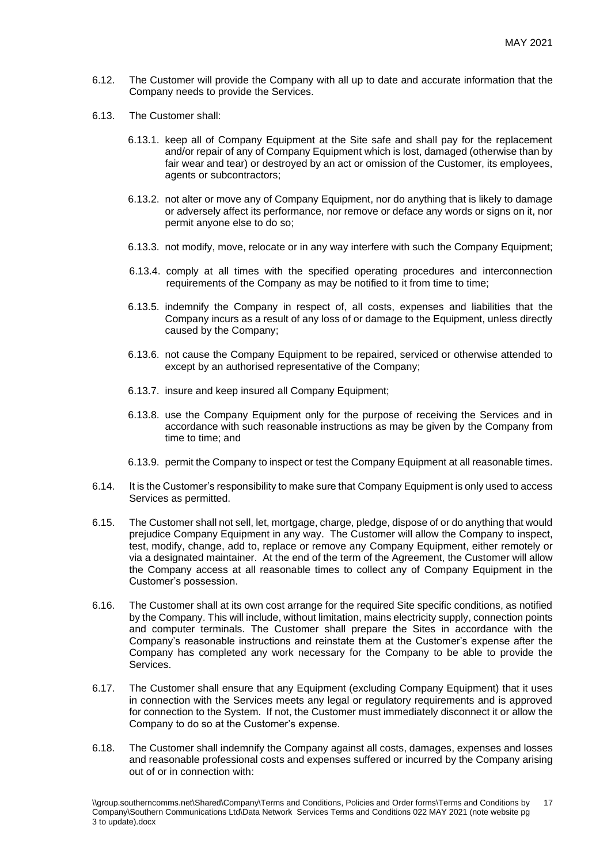- 6.12. The Customer will provide the Company with all up to date and accurate information that the Company needs to provide the Services.
- 6.13. The Customer shall:
	- 6.13.1. keep all of Company Equipment at the Site safe and shall pay for the replacement and/or repair of any of Company Equipment which is lost, damaged (otherwise than by fair wear and tear) or destroyed by an act or omission of the Customer, its employees, agents or subcontractors;
	- 6.13.2. not alter or move any of Company Equipment, nor do anything that is likely to damage or adversely affect its performance, nor remove or deface any words or signs on it, nor permit anyone else to do so;
	- 6.13.3. not modify, move, relocate or in any way interfere with such the Company Equipment;
	- 6.13.4. comply at all times with the specified operating procedures and interconnection requirements of the Company as may be notified to it from time to time;
	- 6.13.5. indemnify the Company in respect of, all costs, expenses and liabilities that the Company incurs as a result of any loss of or damage to the Equipment, unless directly caused by the Company;
	- 6.13.6. not cause the Company Equipment to be repaired, serviced or otherwise attended to except by an authorised representative of the Company;
	- 6.13.7. insure and keep insured all Company Equipment;
	- 6.13.8. use the Company Equipment only for the purpose of receiving the Services and in accordance with such reasonable instructions as may be given by the Company from time to time; and
	- 6.13.9. permit the Company to inspect or test the Company Equipment at all reasonable times.
- 6.14. It is the Customer's responsibility to make sure that Company Equipment is only used to access Services as permitted.
- 6.15. The Customer shall not sell, let, mortgage, charge, pledge, dispose of or do anything that would prejudice Company Equipment in any way. The Customer will allow the Company to inspect, test, modify, change, add to, replace or remove any Company Equipment, either remotely or via a designated maintainer. At the end of the term of the Agreement, the Customer will allow the Company access at all reasonable times to collect any of Company Equipment in the Customer's possession.
- 6.16. The Customer shall at its own cost arrange for the required Site specific conditions, as notified by the Company. This will include, without limitation, mains electricity supply, connection points and computer terminals. The Customer shall prepare the Sites in accordance with the Company's reasonable instructions and reinstate them at the Customer's expense after the Company has completed any work necessary for the Company to be able to provide the Services.
- 6.17. The Customer shall ensure that any Equipment (excluding Company Equipment) that it uses in connection with the Services meets any legal or regulatory requirements and is approved for connection to the System. If not, the Customer must immediately disconnect it or allow the Company to do so at the Customer's expense.
- 6.18. The Customer shall indemnify the Company against all costs, damages, expenses and losses and reasonable professional costs and expenses suffered or incurred by the Company arising out of or in connection with: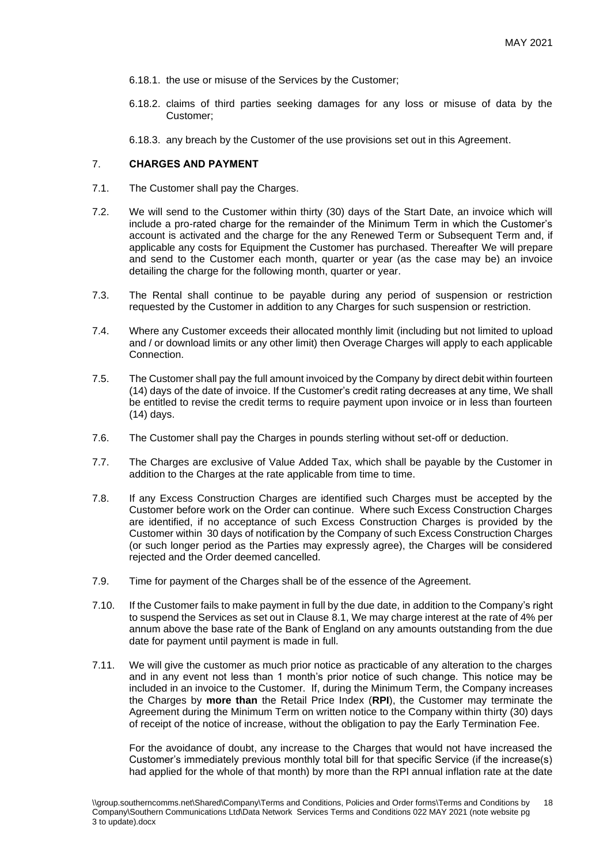- 6.18.1. the use or misuse of the Services by the Customer;
- 6.18.2. claims of third parties seeking damages for any loss or misuse of data by the Customer;
- 6.18.3. any breach by the Customer of the use provisions set out in this Agreement.

## 7. **CHARGES AND PAYMENT**

- 7.1. The Customer shall pay the Charges.
- 7.2. We will send to the Customer within thirty (30) days of the Start Date, an invoice which will include a pro-rated charge for the remainder of the Minimum Term in which the Customer's account is activated and the charge for the any Renewed Term or Subsequent Term and, if applicable any costs for Equipment the Customer has purchased. Thereafter We will prepare and send to the Customer each month, quarter or year (as the case may be) an invoice detailing the charge for the following month, quarter or year.
- 7.3. The Rental shall continue to be payable during any period of suspension or restriction requested by the Customer in addition to any Charges for such suspension or restriction.
- 7.4. Where any Customer exceeds their allocated monthly limit (including but not limited to upload and / or download limits or any other limit) then Overage Charges will apply to each applicable Connection.
- 7.5. The Customer shall pay the full amount invoiced by the Company by direct debit within fourteen (14) days of the date of invoice. If the Customer's credit rating decreases at any time, We shall be entitled to revise the credit terms to require payment upon invoice or in less than fourteen (14) days.
- 7.6. The Customer shall pay the Charges in pounds sterling without set-off or deduction.
- 7.7. The Charges are exclusive of Value Added Tax, which shall be payable by the Customer in addition to the Charges at the rate applicable from time to time.
- 7.8. If any Excess Construction Charges are identified such Charges must be accepted by the Customer before work on the Order can continue. Where such Excess Construction Charges are identified, if no acceptance of such Excess Construction Charges is provided by the Customer within 30 days of notification by the Company of such Excess Construction Charges (or such longer period as the Parties may expressly agree), the Charges will be considered rejected and the Order deemed cancelled.
- 7.9. Time for payment of the Charges shall be of the essence of the Agreement.
- 7.10. If the Customer fails to make payment in full by the due date, in addition to the Company's right to suspend the Services as set out in Clause 8.1, We may charge interest at the rate of 4% per annum above the base rate of the Bank of England on any amounts outstanding from the due date for payment until payment is made in full.
- 7.11. We will give the customer as much prior notice as practicable of any alteration to the charges and in any event not less than 1 month's prior notice of such change. This notice may be included in an invoice to the Customer. If, during the Minimum Term, the Company increases the Charges by **more than** the Retail Price Index (**RPI**), the Customer may terminate the Agreement during the Minimum Term on written notice to the Company within thirty (30) days of receipt of the notice of increase, without the obligation to pay the Early Termination Fee.

For the avoidance of doubt, any increase to the Charges that would not have increased the Customer's immediately previous monthly total bill for that specific Service (if the increase(s) had applied for the whole of that month) by more than the RPI annual inflation rate at the date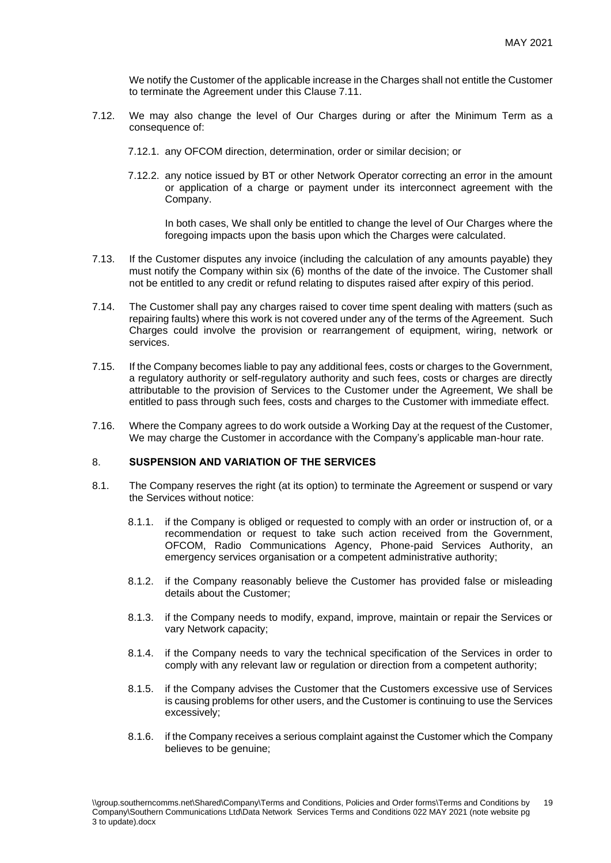We notify the Customer of the applicable increase in the Charges shall not entitle the Customer to terminate the Agreement under this Clause 7.11.

- 7.12. We may also change the level of Our Charges during or after the Minimum Term as a consequence of:
	- 7.12.1. any OFCOM direction, determination, order or similar decision; or
	- 7.12.2. any notice issued by BT or other Network Operator correcting an error in the amount or application of a charge or payment under its interconnect agreement with the Company.

In both cases, We shall only be entitled to change the level of Our Charges where the foregoing impacts upon the basis upon which the Charges were calculated.

- 7.13. If the Customer disputes any invoice (including the calculation of any amounts payable) they must notify the Company within six (6) months of the date of the invoice. The Customer shall not be entitled to any credit or refund relating to disputes raised after expiry of this period.
- 7.14. The Customer shall pay any charges raised to cover time spent dealing with matters (such as repairing faults) where this work is not covered under any of the terms of the Agreement. Such Charges could involve the provision or rearrangement of equipment, wiring, network or services.
- 7.15. If the Company becomes liable to pay any additional fees, costs or charges to the Government, a regulatory authority or self-regulatory authority and such fees, costs or charges are directly attributable to the provision of Services to the Customer under the Agreement, We shall be entitled to pass through such fees, costs and charges to the Customer with immediate effect.
- 7.16. Where the Company agrees to do work outside a Working Day at the request of the Customer, We may charge the Customer in accordance with the Company's applicable man-hour rate.

## 8. **SUSPENSION AND VARIATION OF THE SERVICES**

- 8.1. The Company reserves the right (at its option) to terminate the Agreement or suspend or vary the Services without notice:
	- 8.1.1. if the Company is obliged or requested to comply with an order or instruction of, or a recommendation or request to take such action received from the Government, OFCOM, Radio Communications Agency, Phone-paid Services Authority, an emergency services organisation or a competent administrative authority;
	- 8.1.2. if the Company reasonably believe the Customer has provided false or misleading details about the Customer;
	- 8.1.3. if the Company needs to modify, expand, improve, maintain or repair the Services or vary Network capacity;
	- 8.1.4. if the Company needs to vary the technical specification of the Services in order to comply with any relevant law or regulation or direction from a competent authority;
	- 8.1.5. if the Company advises the Customer that the Customers excessive use of Services is causing problems for other users, and the Customer is continuing to use the Services excessively;
	- 8.1.6. if the Company receives a serious complaint against the Customer which the Company believes to be genuine;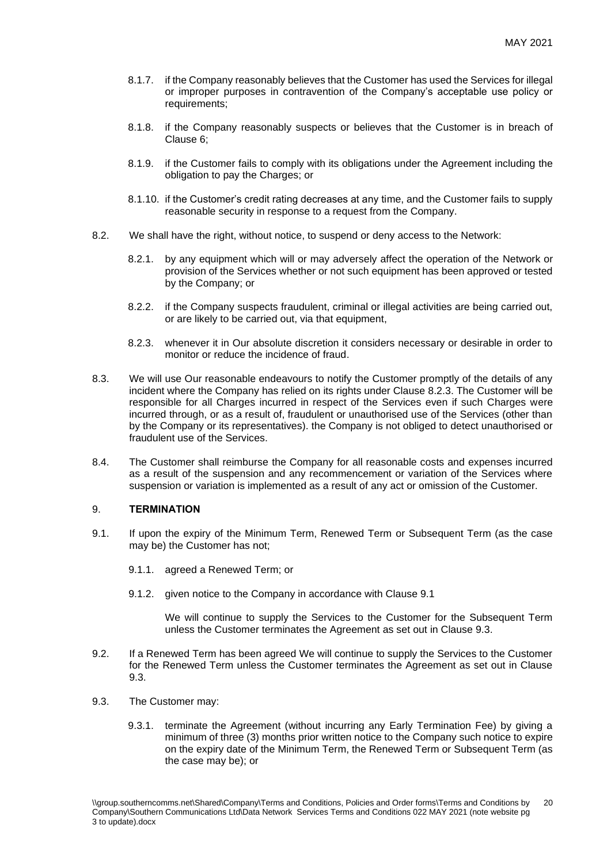- 8.1.7. if the Company reasonably believes that the Customer has used the Services for illegal or improper purposes in contravention of the Company's acceptable use policy or requirements:
- 8.1.8. if the Company reasonably suspects or believes that the Customer is in breach of Clause 6;
- 8.1.9. if the Customer fails to comply with its obligations under the Agreement including the obligation to pay the Charges; or
- 8.1.10. if the Customer's credit rating decreases at any time, and the Customer fails to supply reasonable security in response to a request from the Company.
- 8.2. We shall have the right, without notice, to suspend or deny access to the Network:
	- 8.2.1. by any equipment which will or may adversely affect the operation of the Network or provision of the Services whether or not such equipment has been approved or tested by the Company; or
	- 8.2.2. if the Company suspects fraudulent, criminal or illegal activities are being carried out, or are likely to be carried out, via that equipment,
	- 8.2.3. whenever it in Our absolute discretion it considers necessary or desirable in order to monitor or reduce the incidence of fraud.
- 8.3. We will use Our reasonable endeavours to notify the Customer promptly of the details of any incident where the Company has relied on its rights under Clause 8.2.3. The Customer will be responsible for all Charges incurred in respect of the Services even if such Charges were incurred through, or as a result of, fraudulent or unauthorised use of the Services (other than by the Company or its representatives). the Company is not obliged to detect unauthorised or fraudulent use of the Services.
- 8.4. The Customer shall reimburse the Company for all reasonable costs and expenses incurred as a result of the suspension and any recommencement or variation of the Services where suspension or variation is implemented as a result of any act or omission of the Customer.

## 9. **TERMINATION**

- 9.1. If upon the expiry of the Minimum Term, Renewed Term or Subsequent Term (as the case may be) the Customer has not;
	- 9.1.1. agreed a Renewed Term; or
	- 9.1.2. given notice to the Company in accordance with Clause 9.1

We will continue to supply the Services to the Customer for the Subsequent Term unless the Customer terminates the Agreement as set out in Clause 9.3.

- 9.2. If a Renewed Term has been agreed We will continue to supply the Services to the Customer for the Renewed Term unless the Customer terminates the Agreement as set out in Clause 9.3.
- 9.3. The Customer may:
	- 9.3.1. terminate the Agreement (without incurring any Early Termination Fee) by giving a minimum of three (3) months prior written notice to the Company such notice to expire on the expiry date of the Minimum Term, the Renewed Term or Subsequent Term (as the case may be); or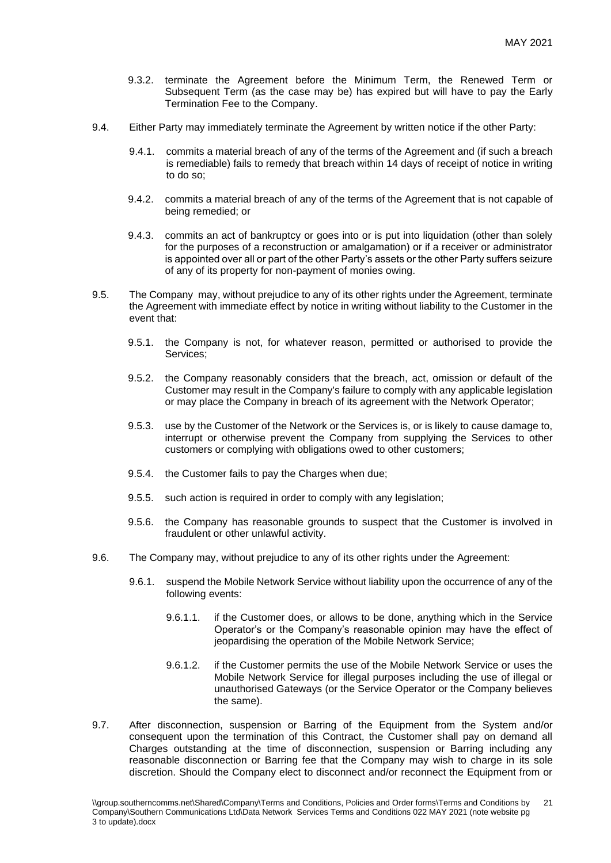- 9.3.2. terminate the Agreement before the Minimum Term, the Renewed Term or Subsequent Term (as the case may be) has expired but will have to pay the Early Termination Fee to the Company.
- 9.4. Either Party may immediately terminate the Agreement by written notice if the other Party:
	- 9.4.1. commits a material breach of any of the terms of the Agreement and (if such a breach is remediable) fails to remedy that breach within 14 days of receipt of notice in writing to do so;
	- 9.4.2. commits a material breach of any of the terms of the Agreement that is not capable of being remedied; or
	- 9.4.3. commits an act of bankruptcy or goes into or is put into liquidation (other than solely for the purposes of a reconstruction or amalgamation) or if a receiver or administrator is appointed over all or part of the other Party's assets or the other Party suffers seizure of any of its property for non-payment of monies owing.
- 9.5. The Company may, without prejudice to any of its other rights under the Agreement, terminate the Agreement with immediate effect by notice in writing without liability to the Customer in the event that:
	- 9.5.1. the Company is not, for whatever reason, permitted or authorised to provide the Services;
	- 9.5.2. the Company reasonably considers that the breach, act, omission or default of the Customer may result in the Company's failure to comply with any applicable legislation or may place the Company in breach of its agreement with the Network Operator;
	- 9.5.3. use by the Customer of the Network or the Services is, or is likely to cause damage to, interrupt or otherwise prevent the Company from supplying the Services to other customers or complying with obligations owed to other customers;
	- 9.5.4. the Customer fails to pay the Charges when due;
	- 9.5.5. such action is required in order to comply with any legislation;
	- 9.5.6. the Company has reasonable grounds to suspect that the Customer is involved in fraudulent or other unlawful activity.
- 9.6. The Company may, without prejudice to any of its other rights under the Agreement:
	- 9.6.1. suspend the Mobile Network Service without liability upon the occurrence of any of the following events:
		- 9.6.1.1. if the Customer does, or allows to be done, anything which in the Service Operator's or the Company's reasonable opinion may have the effect of jeopardising the operation of the Mobile Network Service;
		- 9.6.1.2. if the Customer permits the use of the Mobile Network Service or uses the Mobile Network Service for illegal purposes including the use of illegal or unauthorised Gateways (or the Service Operator or the Company believes the same).
- 9.7. After disconnection, suspension or Barring of the Equipment from the System and/or consequent upon the termination of this Contract, the Customer shall pay on demand all Charges outstanding at the time of disconnection, suspension or Barring including any reasonable disconnection or Barring fee that the Company may wish to charge in its sole discretion. Should the Company elect to disconnect and/or reconnect the Equipment from or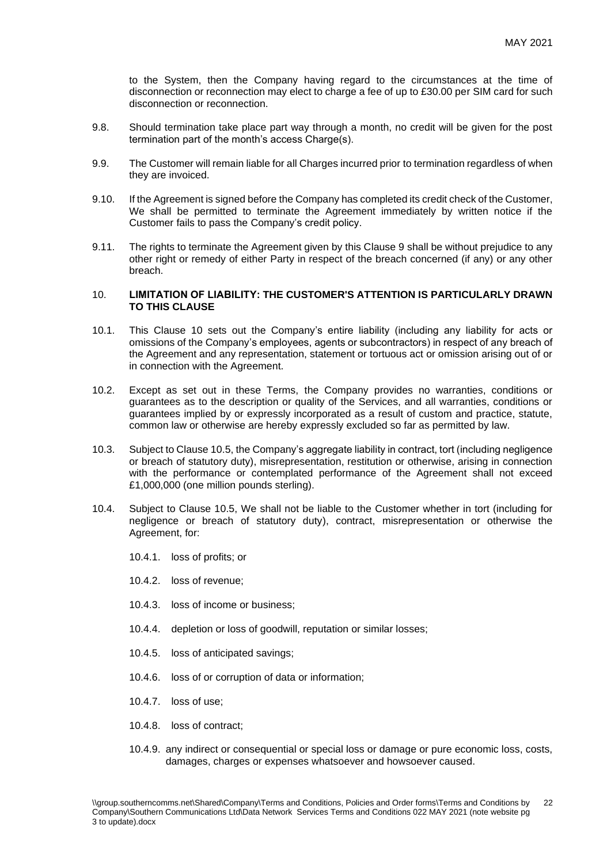to the System, then the Company having regard to the circumstances at the time of disconnection or reconnection may elect to charge a fee of up to £30.00 per SIM card for such disconnection or reconnection.

- 9.8. Should termination take place part way through a month, no credit will be given for the post termination part of the month's access Charge(s).
- 9.9. The Customer will remain liable for all Charges incurred prior to termination regardless of when they are invoiced.
- 9.10. If the Agreement is signed before the Company has completed its credit check of the Customer, We shall be permitted to terminate the Agreement immediately by written notice if the Customer fails to pass the Company's credit policy.
- 9.11. The rights to terminate the Agreement given by this Clause 9 shall be without prejudice to any other right or remedy of either Party in respect of the breach concerned (if any) or any other breach.

## 10. **LIMITATION OF LIABILITY: THE CUSTOMER'S ATTENTION IS PARTICULARLY DRAWN TO THIS CLAUSE**

- 10.1. This Clause 10 sets out the Company's entire liability (including any liability for acts or omissions of the Company's employees, agents or subcontractors) in respect of any breach of the Agreement and any representation, statement or tortuous act or omission arising out of or in connection with the Agreement.
- 10.2. Except as set out in these Terms, the Company provides no warranties, conditions or guarantees as to the description or quality of the Services, and all warranties, conditions or guarantees implied by or expressly incorporated as a result of custom and practice, statute, common law or otherwise are hereby expressly excluded so far as permitted by law.
- 10.3. Subject to Clause 10.5, the Company's aggregate liability in contract, tort (including negligence or breach of statutory duty), misrepresentation, restitution or otherwise, arising in connection with the performance or contemplated performance of the Agreement shall not exceed £1,000,000 (one million pounds sterling).
- 10.4. Subject to Clause 10.5, We shall not be liable to the Customer whether in tort (including for negligence or breach of statutory duty), contract, misrepresentation or otherwise the Agreement, for:
	- 10.4.1. loss of profits; or
	- 10.4.2. loss of revenue;
	- 10.4.3. loss of income or business;
	- 10.4.4. depletion or loss of goodwill, reputation or similar losses;
	- 10.4.5. loss of anticipated savings;
	- 10.4.6. loss of or corruption of data or information;
	- 10.4.7. loss of use;
	- 10.4.8. loss of contract;
	- 10.4.9. any indirect or consequential or special loss or damage or pure economic loss, costs, damages, charges or expenses whatsoever and howsoever caused.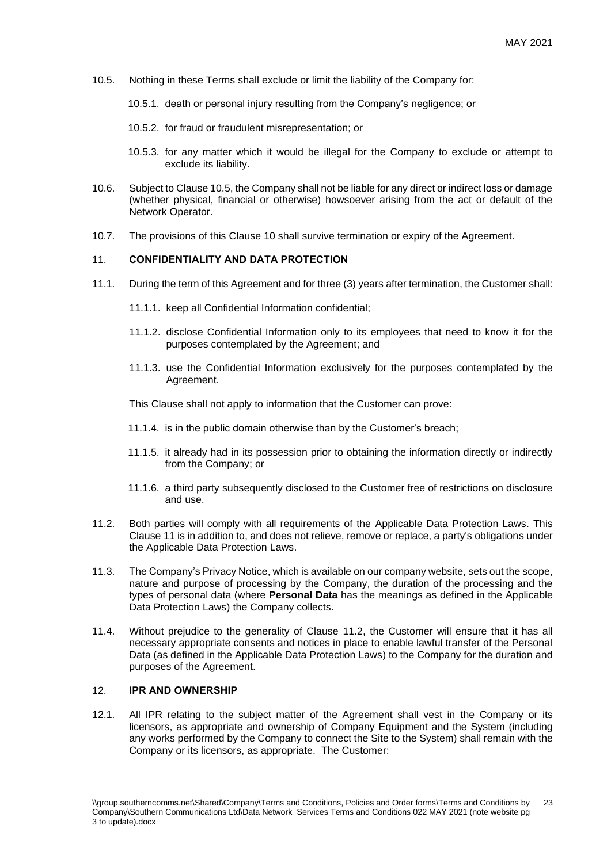- 10.5. Nothing in these Terms shall exclude or limit the liability of the Company for:
	- 10.5.1. death or personal injury resulting from the Company's negligence; or
	- 10.5.2. for fraud or fraudulent misrepresentation; or
	- 10.5.3. for any matter which it would be illegal for the Company to exclude or attempt to exclude its liability.
- 10.6. Subject to Clause 10.5, the Company shall not be liable for any direct or indirect loss or damage (whether physical, financial or otherwise) howsoever arising from the act or default of the Network Operator.
- 10.7. The provisions of this Clause 10 shall survive termination or expiry of the Agreement.

#### 11. **CONFIDENTIALITY AND DATA PROTECTION**

- 11.1. During the term of this Agreement and for three (3) years after termination, the Customer shall:
	- 11.1.1. keep all Confidential Information confidential;
	- 11.1.2. disclose Confidential Information only to its employees that need to know it for the purposes contemplated by the Agreement; and
	- 11.1.3. use the Confidential Information exclusively for the purposes contemplated by the Agreement.

This Clause shall not apply to information that the Customer can prove:

- 11.1.4. is in the public domain otherwise than by the Customer's breach;
- 11.1.5. it already had in its possession prior to obtaining the information directly or indirectly from the Company; or
- 11.1.6. a third party subsequently disclosed to the Customer free of restrictions on disclosure and use.
- <span id="page-22-0"></span>11.2. Both parties will comply with all requirements of the Applicable Data Protection Laws. This Clause 11 is in addition to, and does not relieve, remove or replace, a party's obligations under the Applicable Data Protection Laws.
- 11.3. The Company's Privacy Notice, which is available on our company website, sets out the scope, nature and purpose of processing by the Company, the duration of the processing and the types of personal data (where **Personal Data** has the meanings as defined in the Applicable Data Protection Laws) the Company collects.
- 11.4. Without prejudice to the generality of Clause [11.2,](#page-22-0) the Customer will ensure that it has all necessary appropriate consents and notices in place to enable lawful transfer of the Personal Data (as defined in the Applicable Data Protection Laws) to the Company for the duration and purposes of the Agreement.

## 12. **IPR AND OWNERSHIP**

12.1. All IPR relating to the subject matter of the Agreement shall vest in the Company or its licensors, as appropriate and ownership of Company Equipment and the System (including any works performed by the Company to connect the Site to the System) shall remain with the Company or its licensors, as appropriate. The Customer: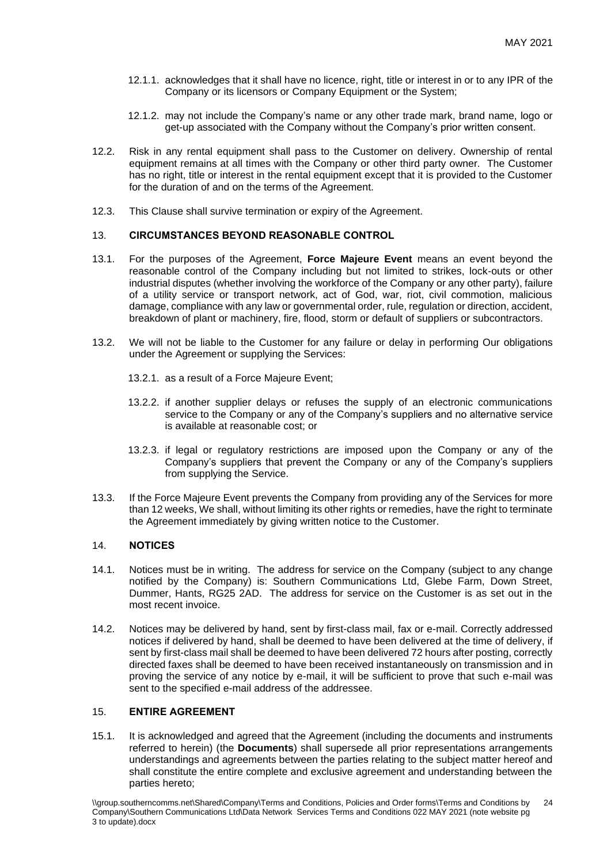- 12.1.1. acknowledges that it shall have no licence, right, title or interest in or to any IPR of the Company or its licensors or Company Equipment or the System;
- 12.1.2. may not include the Company's name or any other trade mark, brand name, logo or get-up associated with the Company without the Company's prior written consent.
- 12.2. Risk in any rental equipment shall pass to the Customer on delivery. Ownership of rental equipment remains at all times with the Company or other third party owner. The Customer has no right, title or interest in the rental equipment except that it is provided to the Customer for the duration of and on the terms of the Agreement.
- 12.3. This Clause shall survive termination or expiry of the Agreement.

## 13. **CIRCUMSTANCES BEYOND REASONABLE CONTROL**

- 13.1. For the purposes of the Agreement, **Force Majeure Event** means an event beyond the reasonable control of the Company including but not limited to strikes, lock-outs or other industrial disputes (whether involving the workforce of the Company or any other party), failure of a utility service or transport network, act of God, war, riot, civil commotion, malicious damage, compliance with any law or governmental order, rule, regulation or direction, accident, breakdown of plant or machinery, fire, flood, storm or default of suppliers or subcontractors.
- 13.2. We will not be liable to the Customer for any failure or delay in performing Our obligations under the Agreement or supplying the Services:
	- 13.2.1. as a result of a Force Majeure Event;
	- 13.2.2. if another supplier delays or refuses the supply of an electronic communications service to the Company or any of the Company's suppliers and no alternative service is available at reasonable cost; or
	- 13.2.3. if legal or regulatory restrictions are imposed upon the Company or any of the Company's suppliers that prevent the Company or any of the Company's suppliers from supplying the Service.
- 13.3. If the Force Majeure Event prevents the Company from providing any of the Services for more than 12 weeks, We shall, without limiting its other rights or remedies, have the right to terminate the Agreement immediately by giving written notice to the Customer.

#### 14. **NOTICES**

- 14.1. Notices must be in writing. The address for service on the Company (subject to any change notified by the Company) is: Southern Communications Ltd, Glebe Farm, Down Street, Dummer, Hants, RG25 2AD. The address for service on the Customer is as set out in the most recent invoice.
- 14.2. Notices may be delivered by hand, sent by first-class mail, fax or e-mail. Correctly addressed notices if delivered by hand, shall be deemed to have been delivered at the time of delivery, if sent by first-class mail shall be deemed to have been delivered 72 hours after posting, correctly directed faxes shall be deemed to have been received instantaneously on transmission and in proving the service of any notice by e-mail, it will be sufficient to prove that such e-mail was sent to the specified e-mail address of the addressee.

# 15. **ENTIRE AGREEMENT**

15.1. It is acknowledged and agreed that the Agreement (including the documents and instruments referred to herein) (the **Documents**) shall supersede all prior representations arrangements understandings and agreements between the parties relating to the subject matter hereof and shall constitute the entire complete and exclusive agreement and understanding between the parties hereto;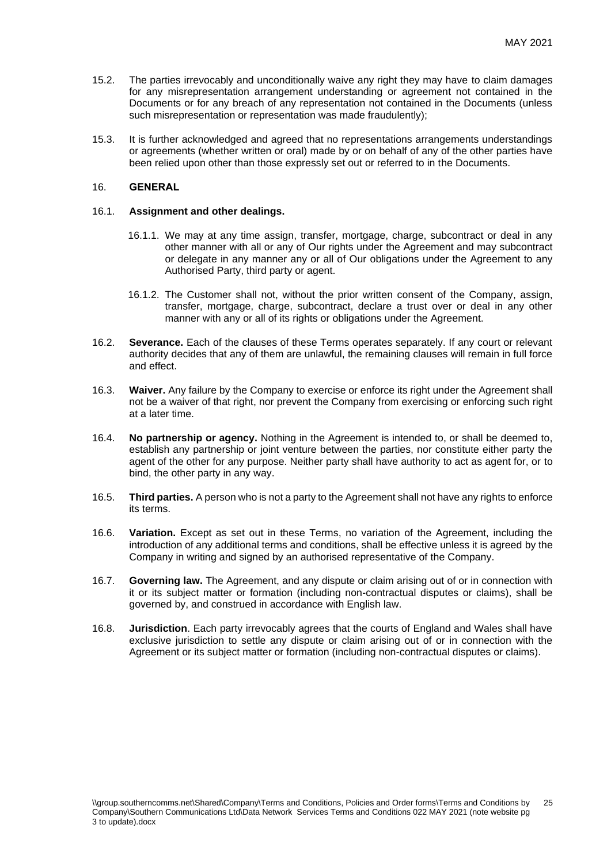- 15.2. The parties irrevocably and unconditionally waive any right they may have to claim damages for any misrepresentation arrangement understanding or agreement not contained in the Documents or for any breach of any representation not contained in the Documents (unless such misrepresentation or representation was made fraudulently);
- 15.3. It is further acknowledged and agreed that no representations arrangements understandings or agreements (whether written or oral) made by or on behalf of any of the other parties have been relied upon other than those expressly set out or referred to in the Documents.

## 16. **GENERAL**

#### 16.1. **Assignment and other dealings.**

- 16.1.1. We may at any time assign, transfer, mortgage, charge, subcontract or deal in any other manner with all or any of Our rights under the Agreement and may subcontract or delegate in any manner any or all of Our obligations under the Agreement to any Authorised Party, third party or agent.
- 16.1.2. The Customer shall not, without the prior written consent of the Company, assign, transfer, mortgage, charge, subcontract, declare a trust over or deal in any other manner with any or all of its rights or obligations under the Agreement.
- 16.2. **Severance.** Each of the clauses of these Terms operates separately. If any court or relevant authority decides that any of them are unlawful, the remaining clauses will remain in full force and effect.
- 16.3. **Waiver.** Any failure by the Company to exercise or enforce its right under the Agreement shall not be a waiver of that right, nor prevent the Company from exercising or enforcing such right at a later time.
- 16.4. **No partnership or agency.** Nothing in the Agreement is intended to, or shall be deemed to, establish any partnership or joint venture between the parties, nor constitute either party the agent of the other for any purpose. Neither party shall have authority to act as agent for, or to bind, the other party in any way.
- 16.5. **Third parties.** A person who is not a party to the Agreement shall not have any rights to enforce its terms.
- 16.6. **Variation.** Except as set out in these Terms, no variation of the Agreement, including the introduction of any additional terms and conditions, shall be effective unless it is agreed by the Company in writing and signed by an authorised representative of the Company.
- 16.7. **Governing law.** The Agreement, and any dispute or claim arising out of or in connection with it or its subject matter or formation (including non-contractual disputes or claims), shall be governed by, and construed in accordance with English law.
- 16.8. **Jurisdiction**. Each party irrevocably agrees that the courts of England and Wales shall have exclusive jurisdiction to settle any dispute or claim arising out of or in connection with the Agreement or its subject matter or formation (including non-contractual disputes or claims).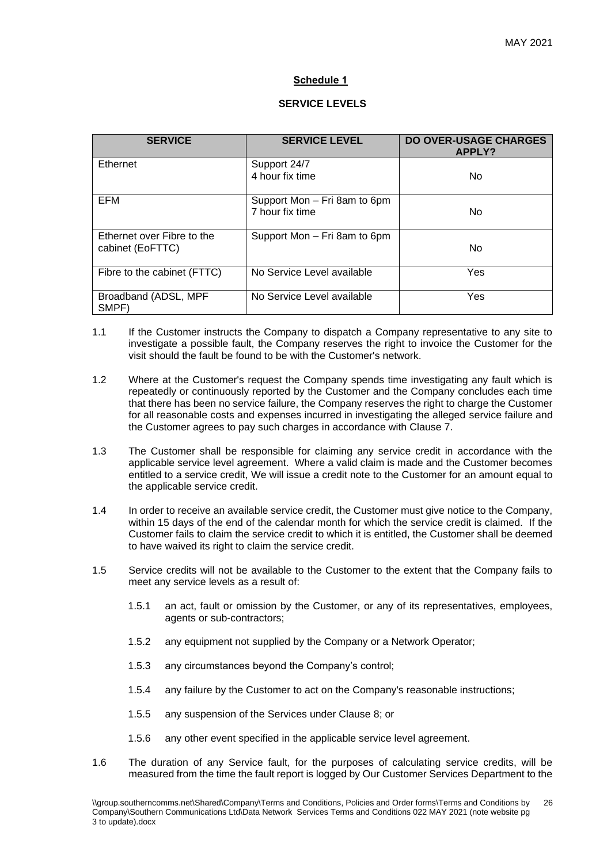# **Schedule 1**

## **SERVICE LEVELS**

| <b>SERVICE</b>                                 | <b>SERVICE LEVEL</b>                            | <b>DO OVER-USAGE CHARGES</b><br>APPLY? |  |
|------------------------------------------------|-------------------------------------------------|----------------------------------------|--|
| Ethernet                                       | Support 24/7<br>4 hour fix time                 | No.                                    |  |
| EFM                                            | Support Mon - Fri 8am to 6pm<br>7 hour fix time | No.                                    |  |
| Ethernet over Fibre to the<br>cabinet (EoFTTC) | Support Mon - Fri 8am to 6pm                    | No.                                    |  |
| Fibre to the cabinet (FTTC)                    | No Service Level available                      | Yes                                    |  |
| Broadband (ADSL, MPF<br>SMPF)                  | No Service Level available                      | Yes                                    |  |

- 1.1 If the Customer instructs the Company to dispatch a Company representative to any site to investigate a possible fault, the Company reserves the right to invoice the Customer for the visit should the fault be found to be with the Customer's network.
- 1.2 Where at the Customer's request the Company spends time investigating any fault which is repeatedly or continuously reported by the Customer and the Company concludes each time that there has been no service failure, the Company reserves the right to charge the Customer for all reasonable costs and expenses incurred in investigating the alleged service failure and the Customer agrees to pay such charges in accordance with Clause 7.
- 1.3 The Customer shall be responsible for claiming any service credit in accordance with the applicable service level agreement. Where a valid claim is made and the Customer becomes entitled to a service credit, We will issue a credit note to the Customer for an amount equal to the applicable service credit.
- 1.4 In order to receive an available service credit, the Customer must give notice to the Company, within 15 days of the end of the calendar month for which the service credit is claimed. If the Customer fails to claim the service credit to which it is entitled, the Customer shall be deemed to have waived its right to claim the service credit.
- 1.5 Service credits will not be available to the Customer to the extent that the Company fails to meet any service levels as a result of:
	- 1.5.1 an act, fault or omission by the Customer, or any of its representatives, employees, agents or sub-contractors;
	- 1.5.2 any equipment not supplied by the Company or a Network Operator;
	- 1.5.3 any circumstances beyond the Company's control;
	- 1.5.4 any failure by the Customer to act on the Company's reasonable instructions;
	- 1.5.5 any suspension of the Services under Clause 8; or
	- 1.5.6 any other event specified in the applicable service level agreement.
- 1.6 The duration of any Service fault, for the purposes of calculating service credits, will be measured from the time the fault report is logged by Our Customer Services Department to the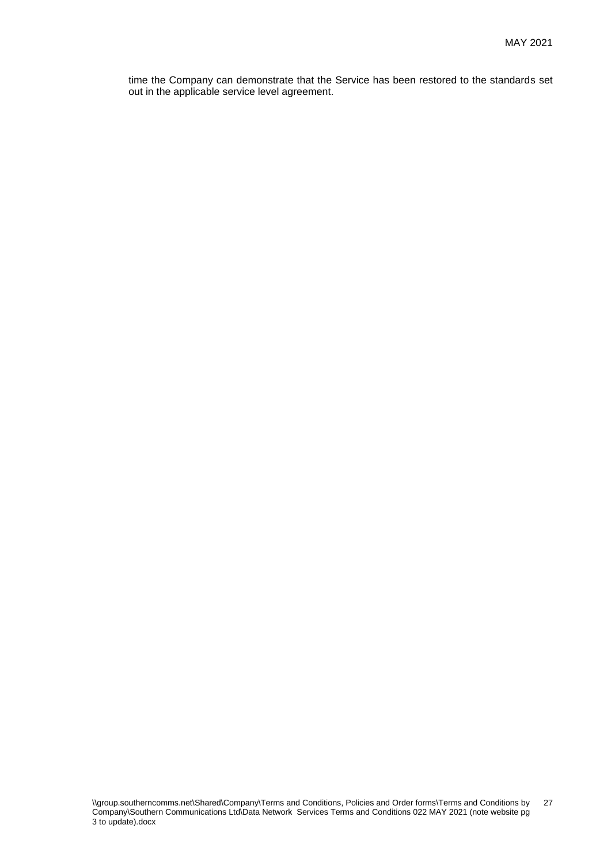time the Company can demonstrate that the Service has been restored to the standards set and the company can consider that the out in the applicable service level agreement.